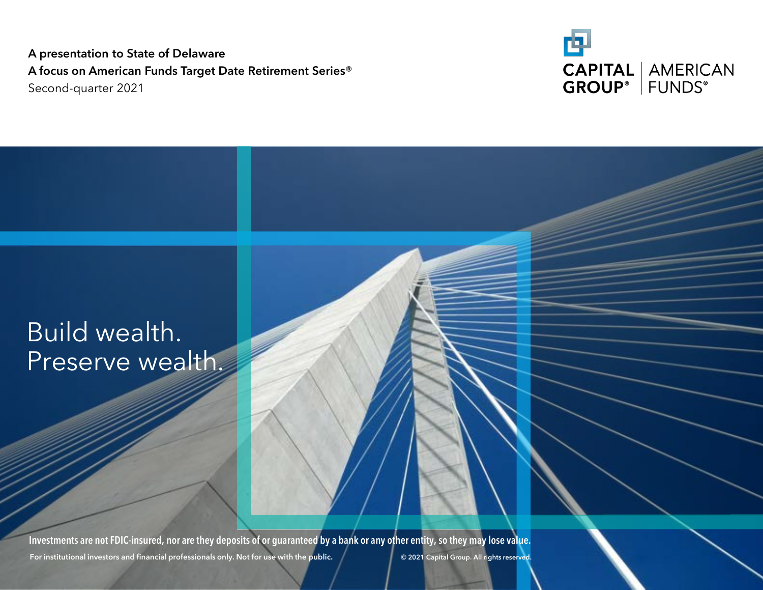**A presentation to State of Delaware A focus on American Funds Target Date Retirement Series®**  Second-quarter 2021



## Build wealth. Preserve wealth.

**For institutional investors and financial professionals only. Not for use with the public. © 2021 Capital Group. All rights reserved. Investments are not FDIC-insured, nor are they deposits of or guaranteed by a bank or any other entity, so they may lose value.**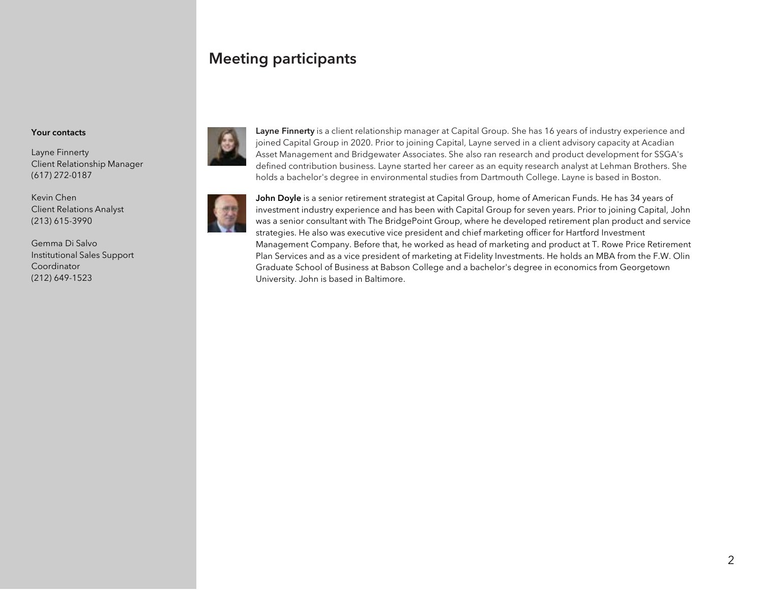### **Meeting participants**

#### **Your contacts**

Layne Finnerty Client Relationship Manager (617) 272-0187

Kevin Chen Client Relations Analyst (213) 615-3990

Gemma Di Salvo Institutional Sales Support Coordinator (212) 649-1523



**Layne Finnerty** is a client relationship manager at Capital Group. She has 16 years of industry experience and joined Capital Group in 2020. Prior to joining Capital, Layne served in a client advisory capacity at Acadian Asset Management and Bridgewater Associates. She also ran research and product development for SSGA's defined contribution business. Layne started her career as an equity research analyst at Lehman Brothers. She holds a bachelor's degree in environmental studies from Dartmouth College. Layne is based in Boston.



**John Doyle** is a senior retirement strategist at Capital Group, home of American Funds. He has 34 years of investment industry experience and has been with Capital Group for seven years. Prior to joining Capital, John was a senior consultant with The BridgePoint Group, where he developed retirement plan product and service strategies. He also was executive vice president and chief marketing officer for Hartford Investment Management Company. Before that, he worked as head of marketing and product at T. Rowe Price Retirement Plan Services and as a vice president of marketing at Fidelity Investments. He holds an MBA from the F.W. Olin Graduate School of Business at Babson College and a bachelor's degree in economics from Georgetown University. John is based in Baltimore.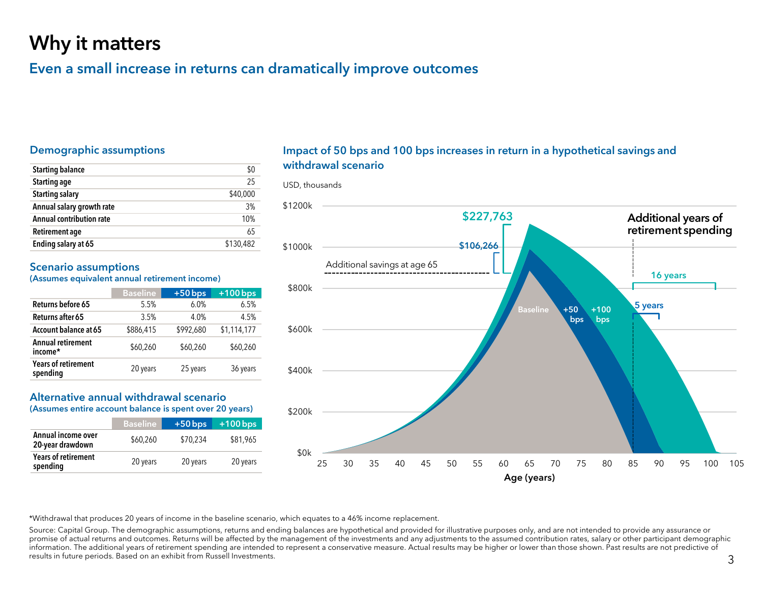## Why it matters

### Even a small increase in returns can dramatically improve outcomes

#### Demographic assumptions

| <b>Starting balance</b>         | \$0       |
|---------------------------------|-----------|
| <b>Starting age</b>             | 25        |
| <b>Starting salary</b>          | \$40,000  |
| Annual salary growth rate       | 3%        |
| <b>Annual contribution rate</b> | 10%       |
| Retirement age                  | 65        |
| Ending salary at 65             | \$130,482 |

#### Scenario assumptions

(Assumes equivalent annual retirement income)

|                                        | <b>Baseline</b> | $+50$ bps | $+100$ bps  |
|----------------------------------------|-----------------|-----------|-------------|
| Returns before 65                      | 5.5%            | 6.0%      | 6.5%        |
| Returns after 65                       | 3.5%            | 4.0%      | 4.5%        |
| Account balance at 65                  | \$886,415       | \$992,680 | \$1,114,177 |
| <b>Annual retirement</b><br>income*    | \$60,260        | \$60,260  | \$60,260    |
| <b>Years of retirement</b><br>spending | 20 years        | 25 years  | 36 years    |

#### Alternative annual withdrawal scenario

(Assumes entire account balance is spent over 20 years)

|                                        | <b>Baseline</b> | $+50$ bps | $+100$ bps |
|----------------------------------------|-----------------|-----------|------------|
| Annual income over<br>20-year drawdown | \$60,260        | \$70.234  | \$81,965   |
| <b>Years of retirement</b><br>spending | 20 years        | 20 years  | 20 years   |

#### Impact of 50 bps and 100 bps increases in return in a hypothetical savings and withdrawal scenario

USD, thousands



\*Withdrawal that produces 20 years of income in the baseline scenario, which equates to a 46% income replacement.

Source: Capital Group. The demographic assumptions, returns and ending balances are hypothetical and provided for illustrative purposes only, and are not intended to provide any assurance or promise of actual returns and outcomes. Returns will be affected by the management of the investments and any adjustments to the assumed contribution rates, salary or other participant demographic information. The additional years of retirement spending are intended to represent a conservative measure. Actual results may be higher or lower than those shown. Past results are not predictive of results in future periods. Based on an exhibit from Russell Investments.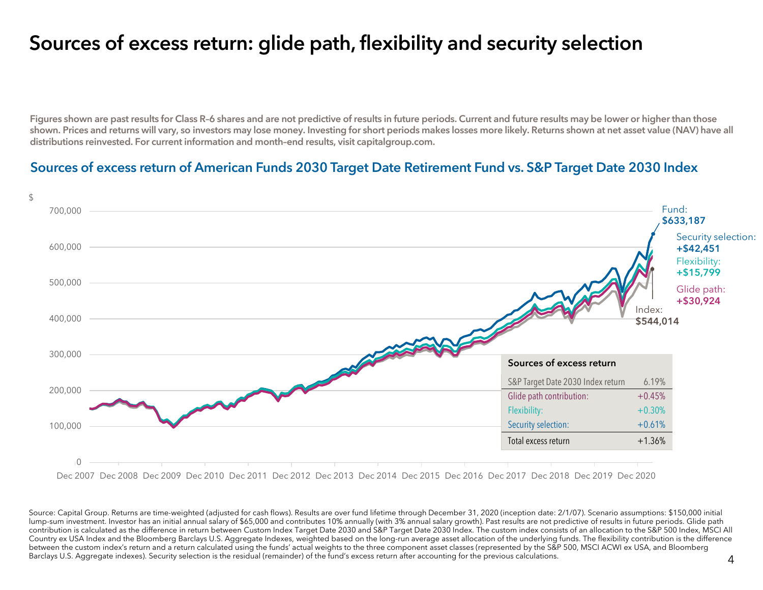## Sources of excess return: glide path, flexibility and security selection

Figures shown are past results for Class R-6 shares and are not predictive of results in future periods. Current and future results may be lower or higher than those shown. Prices and returns will vary, so investors may lose money. Investing for short periods makes losses more likely. Returns shown at net asset value (NAV) have all distributions reinvested. For current information and month–end results, visit capitalgroup.com.

#### Sources of excess return of American Funds 2030 Target Date Retirement Fund vs. S&P Target Date 2030 Index



Dec 2007 Dec 2008 Dec 2009 Dec 2010 Dec 2011 Dec 2012 Dec 2013 Dec 2014 Dec 2015 Dec 2016 Dec 2017 Dec 2018 Dec 2019 Dec 2020

Source: Capital Group. Returns are time-weighted (adjusted for cash flows). Results are over fund lifetime through December 31, 2020 (inception date: 2/1/07). Scenario assumptions: \$150,000 initial lump-sum investment. Investor has an initial annual salary of \$65,000 and contributes 10% annually (with 3% annual salary growth). Past results are not predictive of results in future periods. Glide path contribution is calculated as the difference in return between Custom Index Target Date 2030 and S&P Target Date 2030 Index. The custom index consists of an allocation to the S&P 500 Index, MSCI All Country ex USA Index and the Bloomberg Barclays U.S. Aggregate Indexes, weighted based on the long-run average asset allocation of the underlying funds. The flexibility contribution is the difference between the custom index's return and a return calculated using the funds' actual weights to the three component asset classes (represented by the S&P 500, MSCI ACWI ex USA, and Bloomberg Barclays U.S. Aggregate indexes). Security selection is the residual (remainder) of the fund's excess return after accounting for the previous calculations.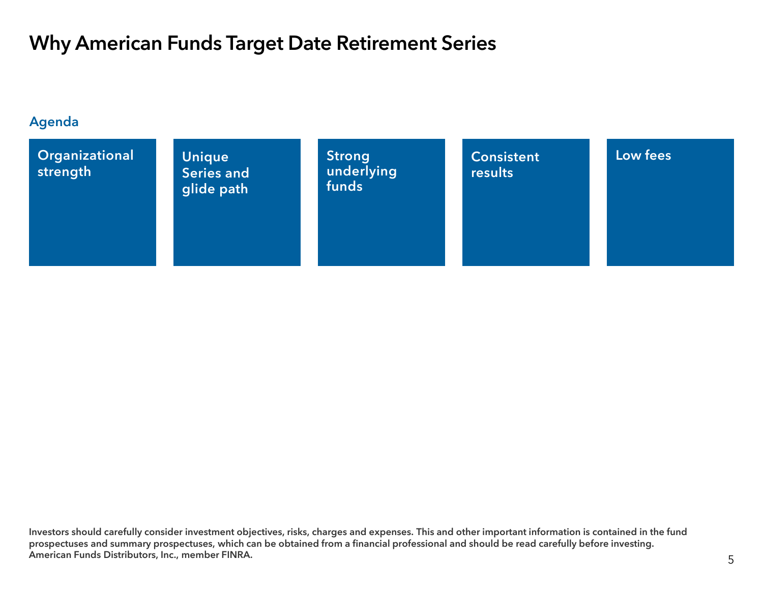## Why American Funds Target Date Retirement Series

#### Agenda



Investors should carefully consider investment objectives, risks, charges and expenses. This and other important information is contained in the fund prospectuses and summary prospectuses, which can be obtained from a financial professional and should be read carefully before investing. American Funds Distributors, Inc., member FINRA.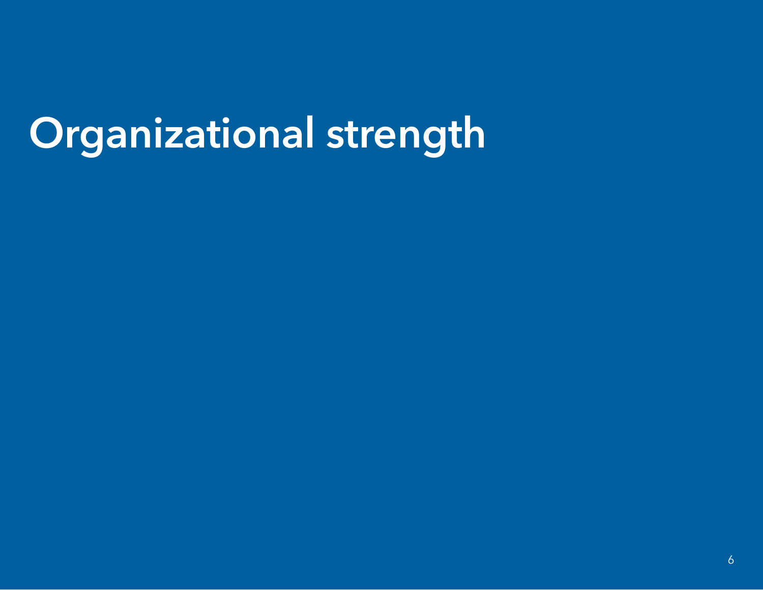# Organizational strength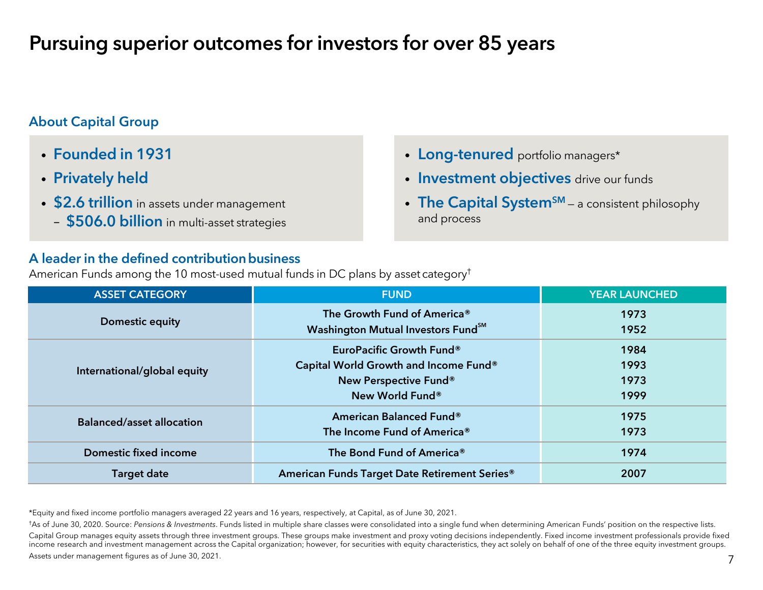## Pursuing superior outcomes for investors for over 85 years

### About Capital Group

- Founded in 1931
- Privately held
- \$2.6 trillion in assets under management
	- **\$506.0 billion** in multi-asset strategies

#### A leader in the defined contribution business

American Funds among the 10 most-used mutual funds in DC plans by asset category†

| <b>ASSET CATEGORY</b>            | <b>FUND</b>                                                                                                   | <b>YEAR LAUNCHED</b>         |
|----------------------------------|---------------------------------------------------------------------------------------------------------------|------------------------------|
| Domestic equity                  | The Growth Fund of America®<br>Washington Mutual Investors Fund <sup>SM</sup>                                 | 1973<br>1952                 |
| International/global equity      | EuroPacific Growth Fund®<br>Capital World Growth and Income Fund®<br>New Perspective Fund®<br>New World Fund® | 1984<br>1993<br>1973<br>1999 |
| <b>Balanced/asset allocation</b> | American Balanced Fund®<br>The Income Fund of America®                                                        | 1975<br>1973                 |
| Domestic fixed income            | The Bond Fund of America <sup>®</sup>                                                                         | 1974                         |
| <b>Target date</b>               | American Funds Target Date Retirement Series®                                                                 | 2007                         |

\*Equity and fixed income portfolio managers averaged 22 years and 16 years, respectively, at Capital, as of June 30, 2021.

†As of June 30, 2020. Source: *Pensions & Investments*. Funds listed in multiple share classes were consolidated into a single fund when determining American Funds' position on the respective lists. Capital Group manages equity assets through three investment groups. These groups make investment and proxy voting decisions independently. Fixed income investment professionals provide fixed income research and investment management across the Capital organization; however, for securities with equity characteristics, they act solely on behalf of one of the three equity investment groups. Assets under management figures as of June 30, 2021.

- Long-tenured portfolio managers\*
- **· Investment objectives** drive our funds
- The Capital System<sup>sM</sup> a consistent philosophy and process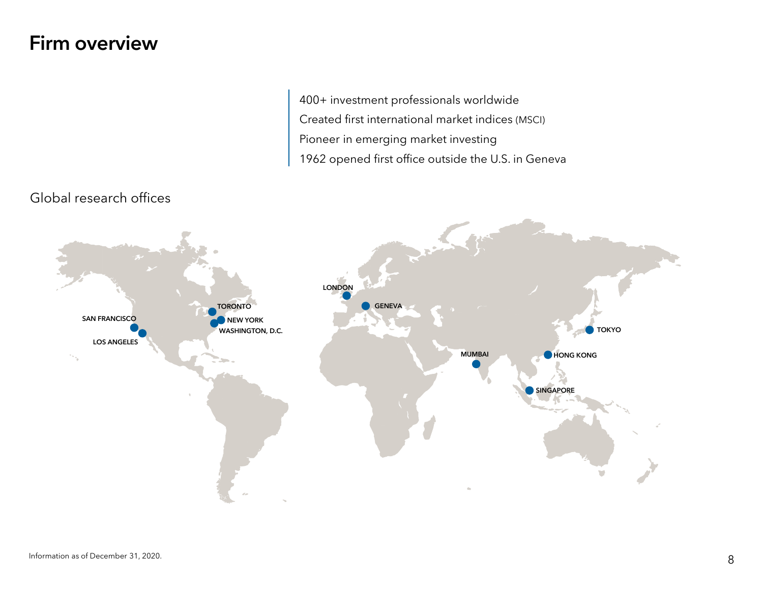## Firm overview

400+ investment professionals worldwide Created first international market indices (MSCI) Pioneer in emerging market investing 1962 opened first office outside the U.S. in Geneva



### Global research offices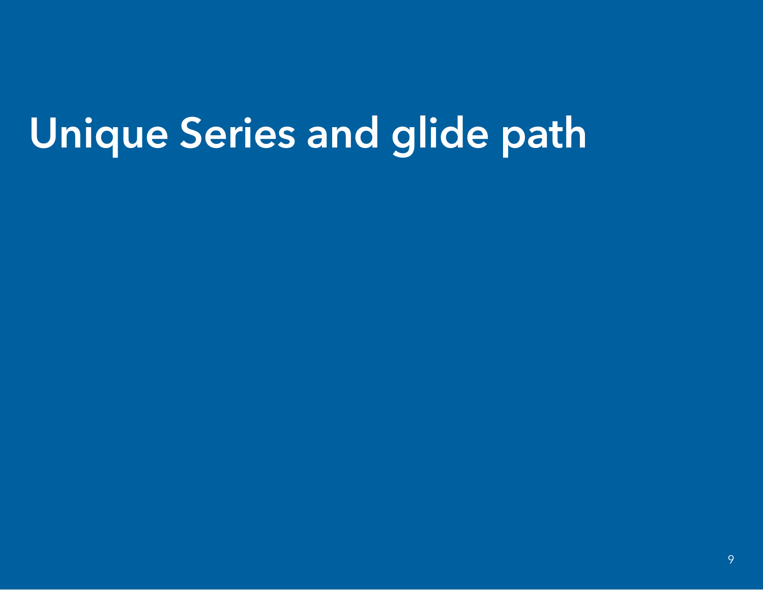# Unique Series and glide path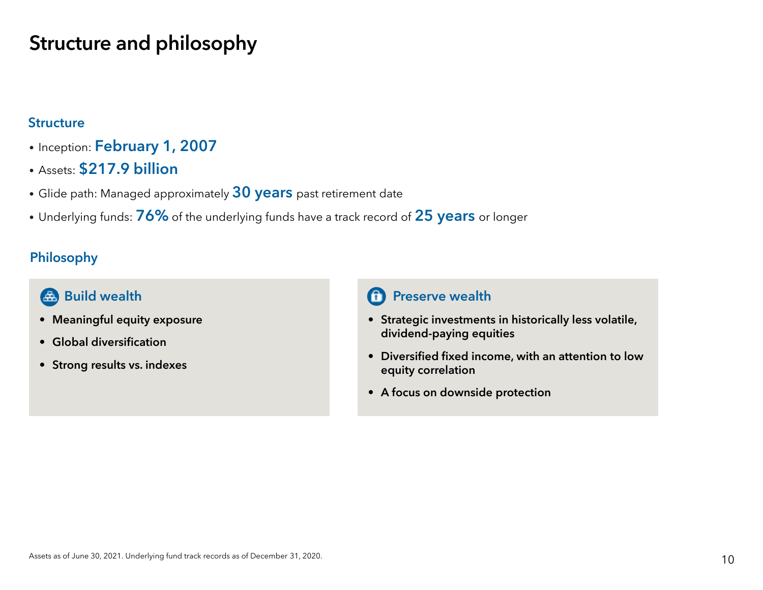## Structure and philosophy

### **Structure**

- Inception: February 1, 2007
- Assets: \$217.9 billion
- $\bullet$  Glide path: Managed approximately  $\bf{30}$   $\bf{years}$  past retirement date
- $\bullet$  Underlying funds:  $\bf 76\%$  of the underlying funds have a track record of  $\bf 25$   $\bf years$  or longer

### Philosophy

## Build wealth

- Meaningful equity exposure
- Global diversification
- Strong results vs. indexes

### Preserve wealth

- Strategic investments in historically less volatile, dividend-paying equities
- Diversified fixed income, with an attention to low equity correlation
- A focus on downside protection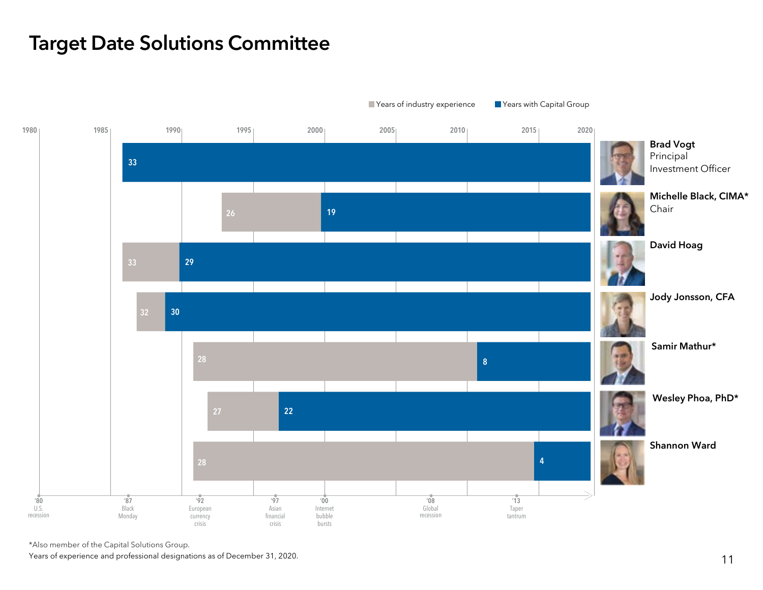## Target Date Solutions Committee



\*Also member of the Capital Solutions Group.

Years of experience and professional designations as of December 31, 2020.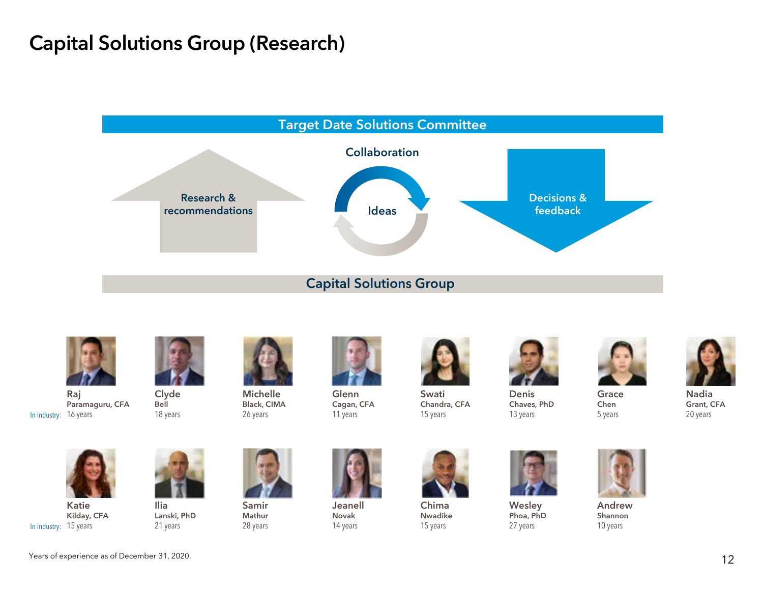## Capital Solutions Group (Research)



Capital Solutions Group



In industry: 16 years Raj Paramaguru, CFA



Bell 18 years



Black, CIMA 26 years

GlennCagan, CFA 11 years



SwatiChandra, CFA 15 years



ChimaNwadike 15 years



DenisChaves, PhD 13 years



Chen 5 years

20 years



In industry: 15 years KatieKilday, CFA



IliaLanski, PhD 21 years



SamirMathur 28 years

JeanellNovak14 years





**Wesley** Phoa, PhD 27 years



AndrewShannon 10 years

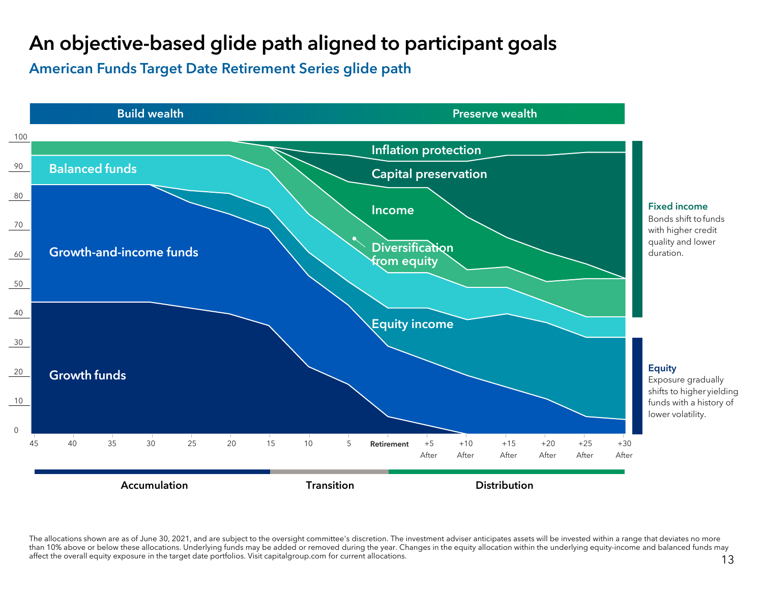## An objective-based glide path aligned to participant goals

American Funds Target Date Retirement Series glide path



The allocations shown are as of June 30, 2021, and are subject to the oversight committee's discretion. The investment adviser anticipates assets will be invested within a range that deviates no more than 10% above or below these allocations. Underlying funds may be added or removed during the year. Changes in the equity allocation within the underlying equity-income and balanced funds may affect the overall equity exposure in the target date portfolios. Visit capitalgroup.com for current allocations.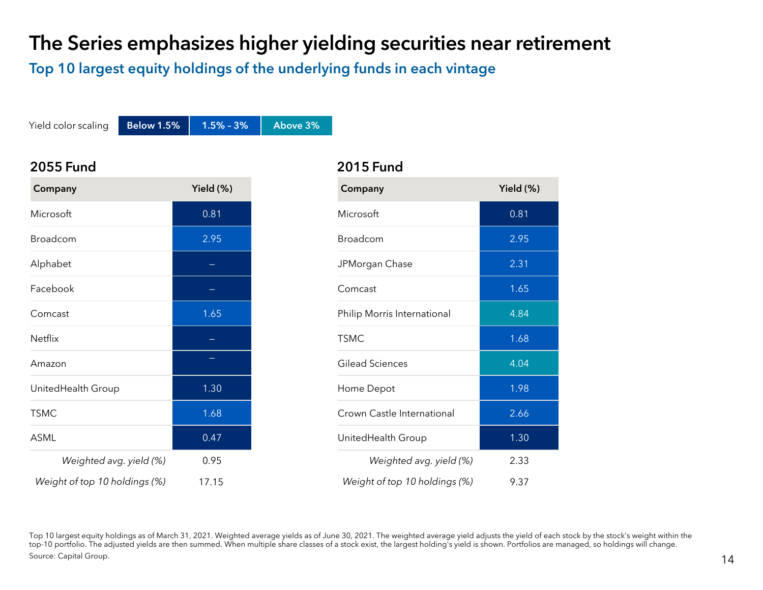## The Series emphasizes higher yielding securities near retirement

Top 10 largest equity holdings of the underlying funds in each vintage

Yield color scaling Below 1.5%  $\vert$  1.5% - 3%  $\vert$  Above 3%

#### 2055 Fund

| Company                       | Yield (%) |
|-------------------------------|-----------|
| Microsoft                     | 0.81      |
| Broadcom                      | 2.95      |
| Alphabet                      |           |
| Facebook                      |           |
| Comcast                       | 1.65      |
| Netflix                       |           |
| Amazon                        |           |
| UnitedHealth Group            | 1.30      |
| <b>TSMC</b>                   | 1.68      |
| ASML                          | 0.47      |
| Weighted avg. yield (%)       | 0.95      |
| Weight of top 10 holdings (%) | 17.15     |

# 2015 Fund

| Company                       | Yield (%) |
|-------------------------------|-----------|
| Microsoft                     | 0.81      |
| Broadcom                      | 2.95      |
| JPMorgan Chase                | 2.31      |
| Comcast                       | 1.65      |
| Philip Morris International   | 4.84      |
| <b>TSMC</b>                   | 1.68      |
| Gilead Sciences               | 4.04      |
| Home Depot                    | 1.98      |
| Crown Castle International    | 2.66      |
| UnitedHealth Group            | 1.30      |
| Weighted avg. yield (%)       | 2.33      |
| Weight of top 10 holdings (%) | 9.37      |

Top 10 largest equity holdings as of March 31, 2021. Weighted average yields as of June 30, 2021. The weighted average yield adjusts the yield of each stock by the stock's weight within the top-10 portfolio. The adjusted yields are then summed. When multiple share classes of a stock exist, the largest holding's yield is shown. Portfolios are managed, so holdings will change. Source: Capital Group.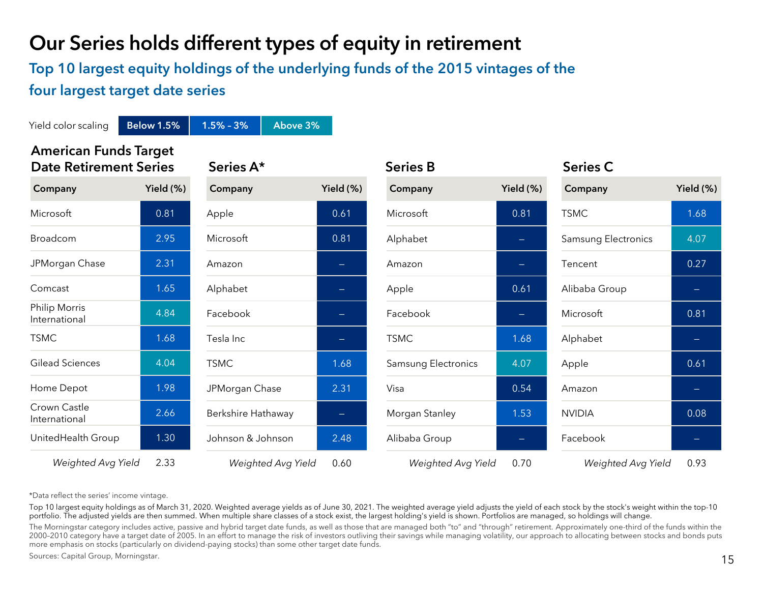## Our Series holds different types of equity in retirement

## Top 10 largest equity holdings of the underlying funds of the 2015 vintages of the four largest target date series

American Funds Target Date Retirement Series Series A\* Series B Series C Yield color scaling Below 1.5% 1.5% - 3% Above 3% Company Yield (%) Microsoft 0.81 Broadcom 2.95 JPMorgan Chase 2.31 Comcast 1.65 Philip Morris International 4.84 TSMC 1.68 Gilead Sciences 4.04 Home Depot 1.98 Crown Castle International 2.66 UnitedHealth Group 1.30 *Weighted Avg Yield* 2.33 Company Yield (%) Apple 0.61 Microsoft 0.81 Amazon—Alphabet Facebook—Tesla Inc—TSMC 1.68 JPMorgan Chase 2.31 Berkshire Hathaway Johnson & Johnson 2.48 *Weighted Avg Yield* 0.60 Company Yield (%) Microsoft 0.81 Alphabet —AmazonApple 0.61 Facebook—TSMC 1.68 Samsung Electronics 14.07 Visa 0.54Morgan Stanley 1.53 Alibaba Group —*Weighted Avg Yield* 0.70 Company Yield (%) TSMC 1.68 Samsung Electronics 14.07 Tencent 0.27Alibaba Group Microsoft 0.81 Alphabet —Apple 0.61 AmazonNVIDIA 0.08 Facebook—*Weighted Avg Yield* 0.93

\*Data reflect the series' income vintage.

Top 10 largest equity holdings as of March 31, 2020. Weighted average yields as of June 30, 2021. The weighted average yield adjusts the yield of each stock by the stock's weight within the top-10 portfolio. The adjusted yields are then summed. When multiple share classes of a stock exist, the largest holding's yield is shown. Portfolios are managed, so holdings will change.

The Morningstar category includes active, passive and hybrid target date funds, as well as those that are managed both "to" and "through" retirement. Approximately one-third of the funds within the 2000-2010 category have a target date of 2005. In an effort to manage the risk of investors outliving their savings while managing volatility, our approach to allocating between stocks and bonds puts more emphasis on stocks (particularly on dividend-paying stocks) than some other target date funds.

Sources: Capital Group, Morningstar.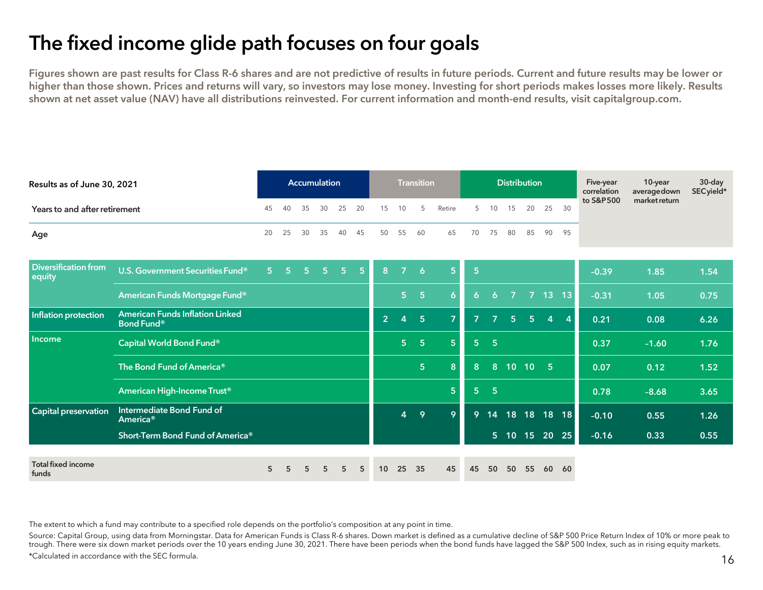## The fixed income glide path focuses on four goals

Figures shown are past results for Class R-6 shares and are not predictive of results in future periods. Current and future results may be lower or higher than those shown. Prices and returns will vary, so investors may lose money. Investing for short periods makes losses more likely. Results shown at net asset value (NAV) have all distributions reinvested. For current information and month-end results, visit capitalgroup.com.

| Results as of June 30, 2021           | Accumulation                                                |                |                                                                   |                |                |                |           | <b>Transition</b> |                |                |                |                | <b>Distribution</b> |                |                    |                | Five-year<br>correlation | 10-year<br>averagedown | 30-day<br>SEC yield* |        |
|---------------------------------------|-------------------------------------------------------------|----------------|-------------------------------------------------------------------|----------------|----------------|----------------|-----------|-------------------|----------------|----------------|----------------|----------------|---------------------|----------------|--------------------|----------------|--------------------------|------------------------|----------------------|--------|
| Years to and after retirement         |                                                             | 45             | 35<br>30<br>25<br>20<br>15<br>Retire<br>5<br>10<br>15<br>40<br>10 | 20             | 25             | 30             | to S&P500 | market return     |                |                |                |                |                     |                |                    |                |                          |                        |                      |        |
| Age                                   |                                                             |                |                                                                   | 30             | 35             | 40             | 45        | 50                | 55             | 60             | 65             | 70             | 75                  | 80             | 85                 | 90             | 95                       |                        |                      |        |
| <b>Diversification from</b><br>equity | U.S. Government Securities Fund®                            | 5 <sup>°</sup> | $\overline{5}$                                                    | 5 <sup>1</sup> | 5 <sub>1</sub> | 5 <sub>1</sub> | $-5$      | 8                 | $\overline{7}$ | $\overline{6}$ | 5              | $\overline{5}$ |                     |                |                    |                |                          | $-0.39$                | 1.85                 | $1.54$ |
|                                       | American Funds Mortgage Fund®                               |                |                                                                   |                |                |                |           |                   | 5 <sup>1</sup> | $-5$           | 6              | 6              | 6                   | $\overline{7}$ |                    | 7 13 13        |                          | $-0.31$                | 1.05                 | 0.75   |
| Inflation protection                  | <b>American Funds Inflation Linked</b><br><b>Bond Fund®</b> |                |                                                                   |                |                |                |           | 2 <sup>1</sup>    | $\overline{4}$ | 5 <sub>5</sub> | $\overline{7}$ | $\overline{z}$ | $\overline{ }$      | 5 <sup>5</sup> | 5 <sup>1</sup>     | $\overline{4}$ | $\overline{4}$           | 0.21                   | 0.08                 | 6.26   |
| Income                                | Capital World Bond Fund®                                    |                |                                                                   |                |                |                |           |                   | 5 <sup>1</sup> | $5\phantom{1}$ | 5              | 5 <sup>1</sup> | $5\phantom{.0}$     |                |                    |                |                          | 0.37                   | $-1.60$              | 1.76   |
|                                       | The Bond Fund of America®                                   |                |                                                                   |                |                |                |           |                   |                | 5 <sub>5</sub> | 8              | 8              | 8 <sup>°</sup>      |                | $\overline{10}$ 10 | $5\phantom{1}$ |                          | 0.07                   | 0.12                 | 1.52   |
|                                       | American High-Income Trust <sup>®</sup>                     |                |                                                                   |                |                |                |           |                   |                |                | 5              | 5 <sub>1</sub> | 5 <sub>5</sub>      |                |                    |                |                          | 0.78                   | $-8.68$              | 3.65   |
| Capital preservation                  | Intermediate Bond Fund of<br>America <sup>®</sup>           |                |                                                                   |                |                |                |           |                   | $\overline{4}$ | 9              | 9              | 9              | 14                  |                | 18 18 18 18        |                |                          | $-0.10$                | 0.55                 | 1.26   |
|                                       | Short-Term Bond Fund of America®                            |                |                                                                   |                |                |                |           |                   |                |                |                |                | 5 <sup>1</sup>      |                | 10 15 20 25        |                |                          | $-0.16$                | 0.33                 | 0.55   |
| <b>Total fixed income</b><br>funds    |                                                             | 5              | 5                                                                 | 5              | 5              | 5              | 5         | 10                | 25             | 35             | 45             | 45             | 50                  | 50             | 55                 | 60             | 60                       |                        |                      |        |

The extent to which a fund may contribute to a specified role depends on the portfolio's composition at any point in time.

Source: Capital Group, using data from Morningstar. Data for American Funds is Class R-6 shares. Down market is defined as a cumulative decline of S&P 500 Price Return Index of 10% or more peak to trough. There were six down market periods over the 10 years ending June 30, 2021. There have been periods when the bond funds have lagged the S&P 500 Index, such as in rising equity markets.

\*Calculated in accordance with the SEC formula.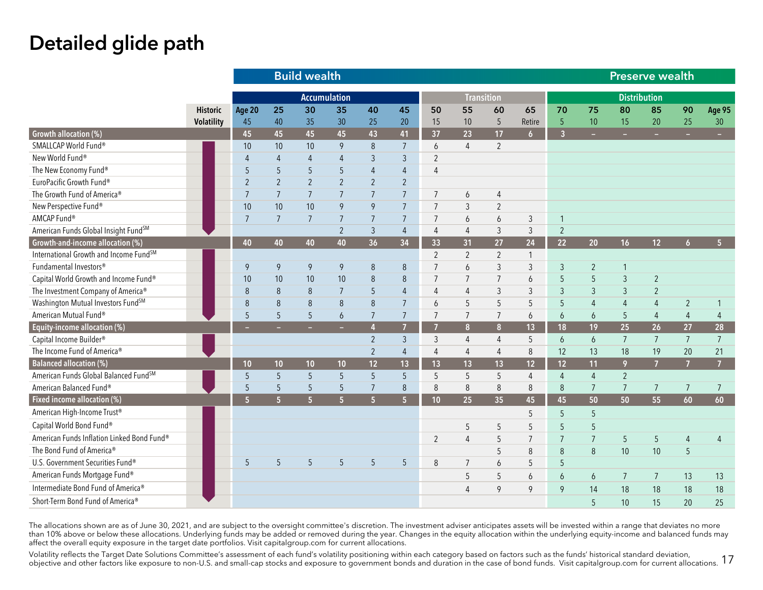## Detailed glide path

|                                            |                   |                |                | <b>Build wealth</b> |                 |                |                 | Preserve wealth |                   |                 |                 |                  |                  |                     |                |                  |                 |
|--------------------------------------------|-------------------|----------------|----------------|---------------------|-----------------|----------------|-----------------|-----------------|-------------------|-----------------|-----------------|------------------|------------------|---------------------|----------------|------------------|-----------------|
|                                            |                   |                |                | <b>Accumulation</b> |                 |                |                 |                 | <b>Transition</b> |                 |                 |                  |                  | <b>Distribution</b> |                |                  |                 |
|                                            | <b>Historic</b>   | Age 20         | 25             | 30                  | 35              | 40             | 45              | 50              | 55                | 60              | 65              | 70               | 75               | 80                  | 85             | 90               | <b>Age 95</b>   |
|                                            | <b>Volatility</b> | 45             | 40             | 35                  | 30              | 25             | 20              | 15              | 10                | 5               | Retire          | 5                | 10               | 15                  | 20             | 25               | 30              |
| Growth allocation (%)                      |                   | 45             | 45             | 45                  | 45              | 43             | 41              | 37              | 23                | 17              | 6 <sup>1</sup>  | $\overline{3}$   | ÷                | н                   | $\sim$         | -                | ÷               |
| SMALLCAP World Fund®                       |                   | 10             | 10             | 10                  | 9               | 8              | $7\overline{ }$ | 6               | $\overline{4}$    | $\overline{2}$  |                 |                  |                  |                     |                |                  |                 |
| New World Fund®                            |                   | $\overline{4}$ | 4              | $\overline{4}$      | $\overline{4}$  | 3              | 3               | $\overline{2}$  |                   |                 |                 |                  |                  |                     |                |                  |                 |
| The New Economy Fund®                      |                   | 5              | 5              | 5                   | 5               | $\overline{4}$ | $\overline{4}$  | $\overline{4}$  |                   |                 |                 |                  |                  |                     |                |                  |                 |
| EuroPacific Growth Fund®                   |                   | $\overline{2}$ | $\overline{2}$ | $\overline{2}$      | $\overline{2}$  | $\overline{2}$ | $\overline{2}$  |                 |                   |                 |                 |                  |                  |                     |                |                  |                 |
| The Growth Fund of America®                |                   | $\overline{7}$ | $\overline{7}$ | $7\overline{ }$     | $\overline{7}$  | $\overline{7}$ | $\overline{7}$  | $\overline{7}$  | $\boldsymbol{6}$  | $\overline{4}$  |                 |                  |                  |                     |                |                  |                 |
| New Perspective Fund®                      |                   | 10             | 10             | 10                  | 9               | 9              | $\overline{7}$  | $\overline{7}$  | $\mathfrak{Z}$    | $\overline{2}$  |                 |                  |                  |                     |                |                  |                 |
| AMCAP Fund®                                |                   | 7              | $\overline{7}$ | $\overline{7}$      | $\overline{7}$  | $\overline{7}$ | 7               | $\overline{7}$  | 6                 | 6               | 3               | $\overline{1}$   |                  |                     |                |                  |                 |
| American Funds Global Insight FundSM       |                   |                |                |                     | $\overline{2}$  | $\mathfrak{Z}$ | $\overline{4}$  | $\overline{4}$  | $\overline{4}$    | $\mathfrak{Z}$  | 3               | $\overline{2}$   |                  |                     |                |                  |                 |
| Growth-and-income allocation (%)           |                   | 40             | 40             | 40                  | 40              | 36             | 34              | 33              | 31                | 27              | 24              | 22               | 20 <sub>2</sub>  | 16                  | 12             | $\boldsymbol{6}$ | 5 <sup>1</sup>  |
| International Growth and Income FundSM     |                   |                |                |                     |                 |                |                 | $\overline{2}$  | $\overline{2}$    | $\overline{2}$  | $\mathbf{1}$    |                  |                  |                     |                |                  |                 |
| Fundamental Investors®                     |                   | 9              | 9              | 9                   | 9               | 8              | 8               | $\overline{7}$  | 6                 | $\mathfrak{Z}$  | 3               | $\mathfrak{Z}$   | $\overline{2}$   | 1                   |                |                  |                 |
| Capital World Growth and Income Fund®      |                   | 10             | 10             | 10                  | 10              | $8\,$          | 8               | $\overline{7}$  | $\overline{7}$    | $\overline{7}$  | 6               | 5                | 5                | $\mathfrak{Z}$      | $\overline{2}$ |                  |                 |
| The Investment Company of America®         |                   | 8              | 8              | 8                   | 7               | 5              | $\overline{4}$  | $\overline{4}$  | $\overline{4}$    | $\mathfrak{Z}$  | 3               | $\mathfrak{Z}$   | 3                | 3                   | $\overline{2}$ |                  |                 |
| Washington Mutual Investors FundSM         |                   | 8              | 8              | 8                   | 8               | $\,8\,$        | $7\overline{ }$ | 6               | 5                 | 5               | 5               | $5\phantom{.0}$  | $\overline{4}$   | 4                   | $\overline{4}$ | $\overline{2}$   | 1               |
| American Mutual Fund®                      |                   | 5              | 5              | 5                   | 6               | $\overline{7}$ | $\overline{7}$  | $7\overline{ }$ | $\overline{7}$    | $\overline{7}$  | 6               | $\overline{6}$   | 6                | 5                   | $\overline{4}$ | $\overline{4}$   | $\overline{4}$  |
| Equity-income allocation (%)               |                   |                |                |                     |                 | $\overline{4}$ | 7               | 7               | 8                 | 8 <sup>2</sup>  | 13              | 18               | 19               | 25                  | 26             | 27               | 28              |
| Capital Income Builder®                    |                   |                |                |                     |                 | $\overline{2}$ | $\mathfrak{Z}$  | 3               | $\overline{4}$    | $\overline{4}$  | 5               | $\boldsymbol{6}$ | $\boldsymbol{6}$ | $\overline{7}$      | $\overline{7}$ | $\overline{7}$   | $\overline{7}$  |
| The Income Fund of America®                |                   |                |                |                     |                 | $\overline{2}$ | $\overline{4}$  | $\overline{4}$  | $\overline{4}$    | $\overline{4}$  | 8               | 12               | 13               | 18                  | 19             | 20               | 21              |
| <b>Balanced allocation (%)</b>             |                   | 10             | 10             | 10                  | 10 <sub>1</sub> | 12             | 13              | 13              | 13                | 13              | 12 <sup>2</sup> | 12               | 11               | 9                   | $\overline{7}$ | $\overline{7}$   | $\overline{7}$  |
| American Funds Global Balanced FundSM      |                   | 5              | 5              | 5                   | 5               | 5              | 5               | 5               | 5                 | 5               | 4               | $\overline{4}$   | $\overline{4}$   | $\overline{2}$      |                |                  |                 |
| American Balanced Fund®                    |                   | 5              | 5              | 5                   | 5               | $\overline{7}$ | 8               | 8               | 8                 | 8               | 8               | 8                | 7                | $\overline{7}$      | $\overline{7}$ | 7                | $\overline{7}$  |
| Fixed income allocation (%)                |                   | 5 <sub>5</sub> | $\overline{5}$ | $\overline{5}$      | 5 <sup>1</sup>  | 5 <sup>1</sup> | 5 <sup>1</sup>  | 10              | 25                | 35 <sub>2</sub> | 45              | 45               | 50               | 50                  | 55             | 60               | 60 <sup>°</sup> |
| American High-Income Trust <sup>®</sup>    |                   |                |                |                     |                 |                |                 |                 |                   |                 | 5               | 5                | 5                |                     |                |                  |                 |
| Capital World Bond Fund®                   |                   |                |                |                     |                 |                |                 |                 | $\sqrt{5}$        | 5               | 5               | 5                | 5                |                     |                |                  |                 |
| American Funds Inflation Linked Bond Fund® |                   |                |                |                     |                 |                |                 | $\overline{2}$  | $\overline{4}$    | 5               | $\overline{7}$  | $\overline{7}$   | $\overline{7}$   | 5                   | 5              | $\overline{4}$   | 4               |
| The Bond Fund of America®                  |                   |                |                |                     |                 |                |                 |                 |                   | 5               | 8               | $\,8\,$          | 8                | 10                  | 10             | 5                |                 |
| U.S. Government Securities Fund®           |                   | 5              | 5              | 5                   | 5               | 5              | 5               | 8               | $\overline{7}$    | 6               | 5               | 5                |                  |                     |                |                  |                 |
| American Funds Mortgage Fund®              |                   |                |                |                     |                 |                |                 |                 | 5                 | 5               | 6               | $\overline{6}$   | 6                | $\overline{7}$      | $\overline{7}$ | 13               | 13              |
| Intermediate Bond Fund of America®         |                   |                |                |                     |                 |                |                 |                 | $\overline{4}$    | 9               | 9               | 9                | 14               | 18                  | 18             | 18               | 18              |
| Short-Term Bond Fund of America®           |                   |                |                |                     |                 |                |                 |                 |                   |                 |                 |                  | 5                | 10                  | 15             | 20               | 25              |

The allocations shown are as of June 30, 2021, and are subject to the oversight committee's discretion. The investment adviser anticipates assets will be invested within a range that deviates no more than 10% above or below these allocations. Underlying funds may be added or removed during the year. Changes in the equity allocation within the underlying equity-income and balanced funds may affect the overall equity exposure in the target date portfolios. Visit capitalgroup.com for current allocations.

Volatility reflects the Target Date Solutions Committee's assessment of each fund's volatility positioning within each category based on factors such as the funds' historical standard deviation, objective and other factors like exposure to non-U.S. and small-cap stocks and exposure to government bonds and duration in the case of bond funds. Visit capitalgroup.com for current allocations. 17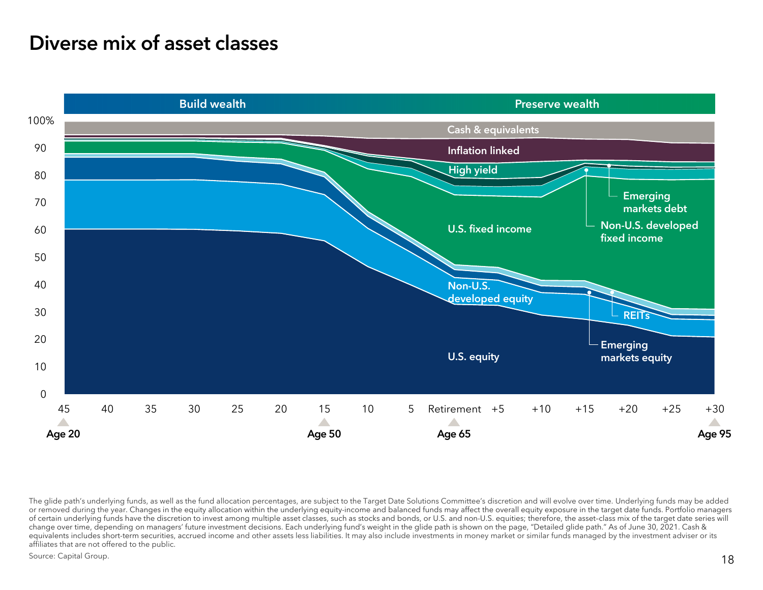## Diverse mix of asset classes



The glide path's underlying funds, as well as the fund allocation percentages, are subject to the Target Date Solutions Committee's discretion and will evolve over time. Underlying funds may be added or removed during the year. Changes in the equity allocation within the underlying equity-income and balanced funds may affect the overall equity exposure in the target date funds. Portfolio managers of certain underlying funds have the discretion to invest among multiple asset classes, such as stocks and bonds, or U.S. and non-U.S. equities; therefore, the asset–class mix of the target date series will change over time, depending on managers' future investment decisions. Each underlying fund's weight in the glide path is shown on the page, "Detailed glide path." As of June 30, 2021. Cash & equivalents includes short-term securities, accrued income and other assets less liabilities. It may also include investments in money market or similar funds managed by the investment adviser or its affiliates that are not offered to the public.

Source: Capital Group.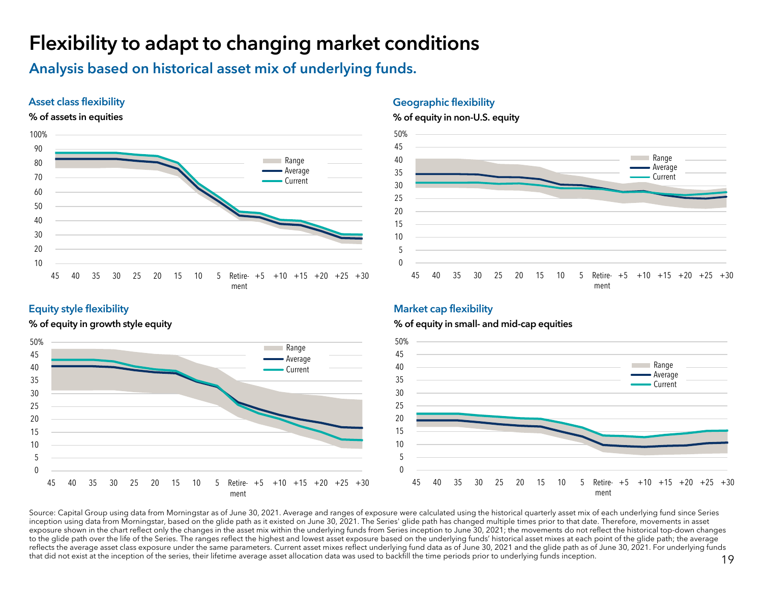## Flexibility to adapt to changing market conditions

Analysis based on historical asset mix of underlying funds.

#### Asset class flexibility





#### Geographic flexibility

#### % of equity in non-U.S. equity



#### Equity style flexibility

% of equity in growth style equity



#### % of equity in small- and mid-cap equities

Market cap flexibility



Source: Capital Group using data from Morningstar as of June 30, 2021. Average and ranges of exposure were calculated using the historical quarterly asset mix of each underlying fund since Series inception using data from Morningstar, based on the glide path as it existed on June 30, 2021. The Series' glide path has changed multiple times prior to that date. Therefore, movements in asset exposure shown in the chart reflect only the changes in the asset mix within the underlying funds from Series inception to June 30, 2021; the movements do not reflect the historical top-down changes to the glide path over the life of the Series. The ranges reflect the highest and lowest asset exposure based on the underlying funds' historical asset mixes at each point of the glide path; the average reflects the average asset class exposure under the same parameters. Current asset mixes reflect underlying fund data as of June 30, 2021 and the glide path as of June 30, 2021. For underlying funds that did not exist at the inception of the series, their lifetime average asset allocation data was used to backfill the time periods prior to underlying funds inception.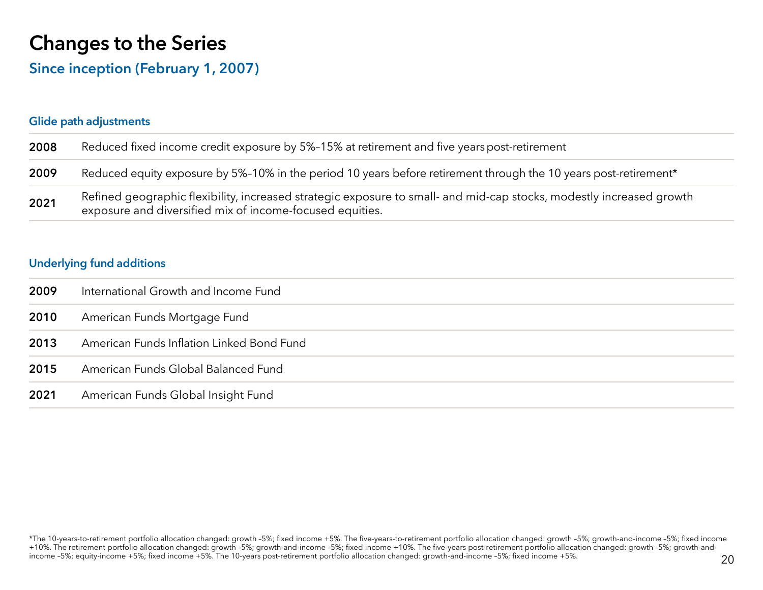## Changes to the Series

### Since inception (February 1, 2007)

#### Glide path adjustments 2008 Reduced fixed income credit exposure by 5%–15% at retirement and five years post-retirement 2009Reduced equity exposure by 5%-10% in the period 10 years before retirement through the 10 years post-retirement\* 2021Refined geographic flexibility, increased strategic exposure to small- and mid-cap stocks, modestly increased growth exposure and diversified mix of income-focused equities.

#### Underlying fund additions

| 2009 | International Growth and Income Fund      |
|------|-------------------------------------------|
| 2010 | American Funds Mortgage Fund              |
| 2013 | American Funds Inflation Linked Bond Fund |
| 2015 | American Funds Global Balanced Fund       |
| 2021 | American Funds Global Insight Fund        |

<sup>\*</sup>The 10-years-to-retirement portfolio allocation changed: growth –5%; fixed income +5%. The five-years-to-retirement portfolio allocation changed: growth –5%; growth-and-income –5%; fixed income +10%. The retirement portfolio allocation changed: growth –5%; growth-and-income –5%; fixed income +10%. The five-years post-retirement portfolio allocation changed: growth –5%; growth-andincome –5%; equity-income +5%; fixed income +5%. The 10-years post-retirement portfolio allocation changed: growth-and-income –5%; fixed income +5%.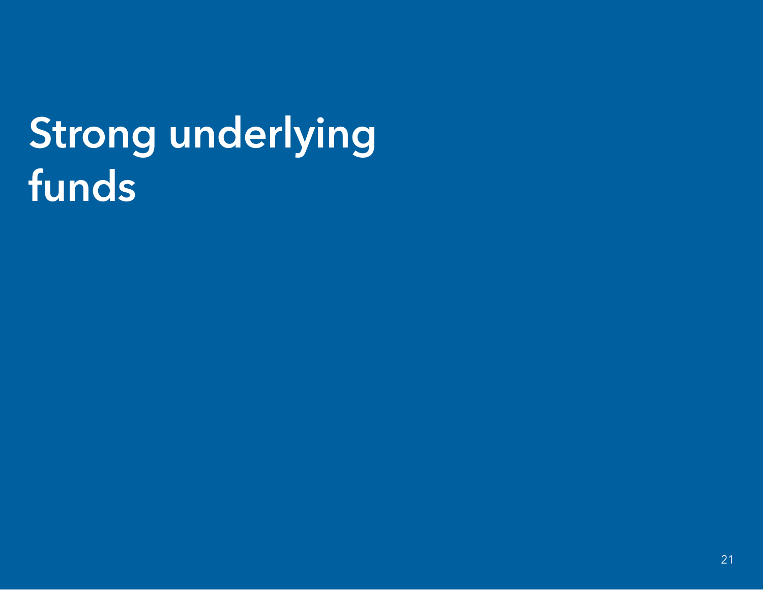# Strong underlying funds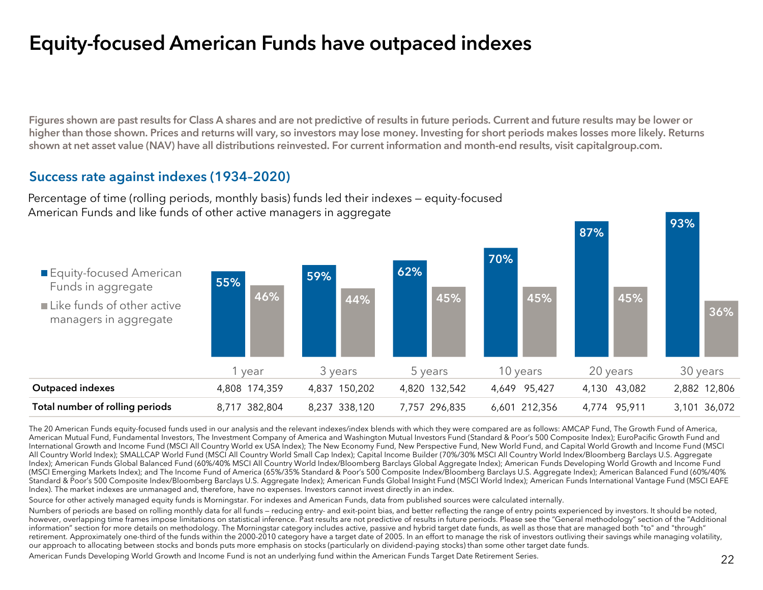## Equity-focused American Funds have outpaced indexes

Figures shown are past results for Class A shares and are not predictive of results in future periods. Current and future results may be lower or higher than those shown. Prices and returns will vary, so investors may lose money. Investing for short periods makes losses more likely. Returns shown at net asset value (NAV) have all distributions reinvested. For current information and month-end results, visit capitalgroup.com.

#### Success rate against indexes (1934–2020)

Percentage of time (rolling periods, monthly basis) funds led their indexes — equity-focused American Funds and like funds of other active managers in aggregate



The 20 American Funds equity-focused funds used in our analysis and the relevant indexes/index blends with which they were compared are as follows: AMCAP Fund, The Growth Fund of America, American Mutual Fund, Fundamental Investors, The Investment Company of America and Washington Mutual Investors Fund (Standard & Poor's 500 Composite Index); EuroPacific Growth Fund and International Growth and Income Fund (MSCI All Country World ex USA Index); The New Economy Fund, New Perspective Fund, New World Fund, and Capital World Growth and Income Fund (MSCI All Country World Index); SMALLCAP World Fund (MSCI All Country World Small Cap Index); Capital Income Builder (70%/30% MSCI All Country World Index/Bloomberg Barclays U.S. Aggregate Index); American Funds Global Balanced Fund (60%/40% MSCI All Country World Index/Bloomberg Barclays Global Aggregate Index); American Funds Developing World Growth and Income Fund (MSCI Emerging Markets Index); and The Income Fund of America (65%/35% Standard & Poor's 500 Composite Index/Bloomberg Barclays U.S. Aggregate Index); American Balanced Fund (60%/40% Standard & Poor's 500 Composite Index/Bloomberg Barclays U.S. Aggregate Index); American Funds Global Insight Fund (MSCI World Index); American Funds International Vantage Fund (MSCI EAFE Index). The market indexes are unmanaged and, therefore, have no expenses. Investors cannot invest directly in an index.

Source for other actively managed equity funds is Morningstar. For indexes and American Funds, data from published sources were calculated internally.

Numbers of periods are based on rolling monthly data for all funds - reducing entry- and exit-point bias, and better reflecting the range of entry points experienced by investors. It should be noted, however, overlapping time frames impose limitations on statistical inference. Past results are not predictive of results in future periods. Please see the "General methodology" section of the "Additional information" section for more details on methodology. The Morningstar category includes active, passive and hybrid target date funds, as well as those that are managed both "to" and "through" retirement. Approximately one-third of the funds within the 2000-2010 category have a target date of 2005. In an effort to manage the risk of investors outliving their savings while managing volatility, our approach to allocating between stocks and bonds puts more emphasis on stocks (particularly on dividend-paying stocks) than some other target date funds.

American Funds Developing World Growth and Income Fund is not an underlying fund within the American Funds Target Date Retirement Series.

93%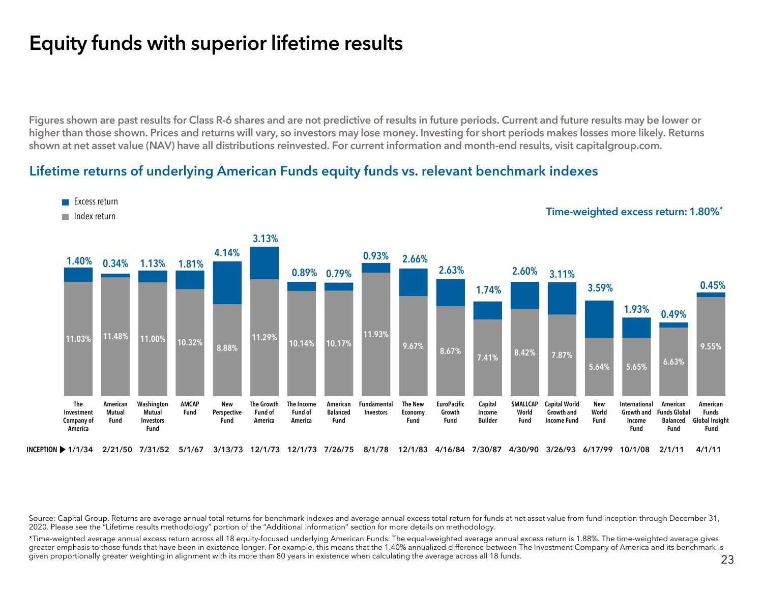## Equity funds with superior lifetime results

Figures shown are past results for Class R-6 shares and are not predictive of results in future periods. Current and future results may be lower or higher than those shown. Prices and returns will vary, so investors may lose money. Investing for short periods makes losses more likely. Returns shown at net asset value (NAV) have all distributions reinvested. For current information and month-end results, visit capitalgroup.com.

#### Lifetime returns of underlying American Funds equity funds vs. relevant benchmark indexes



Source: Capital Group. Returns are average annual total returns for benchmark indexes and average annual excess total return for funds at net asset value from fund inception through December 31, 2020. Please see the "Lifetime results methodology" portion of the "Additional information" section for more details on methodology.

\*Time-weighted average annual excess return across all 18 equity-focused underlying American Funds. The equal-weighted average annual excess return is 1.88%. The time-weighted average gives greater emphasis to those funds that have been in existence longer. For example, this means that the 1.40% annualized difference between The Investment Company of America and its benchmark is given proportionally greater weighting in alignment with its more than 80 years in existence when calculating the average across all 18 funds.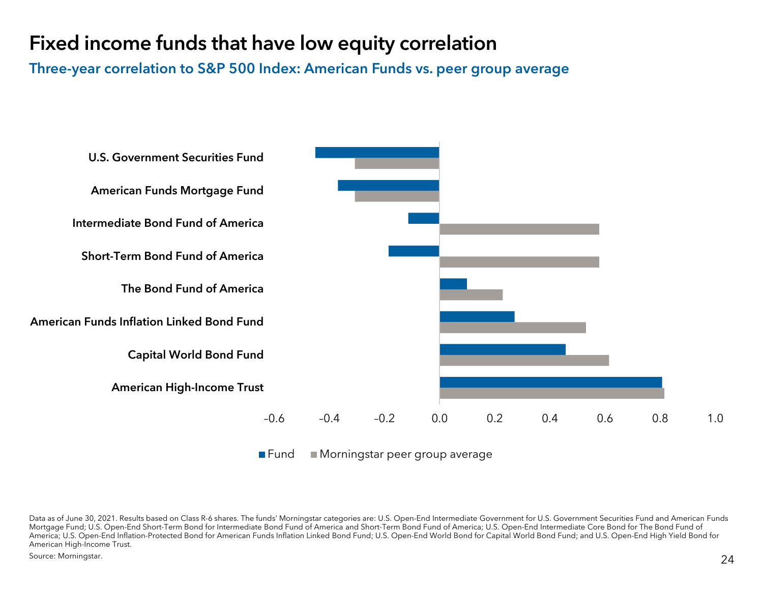## Fixed income funds that have low equity correlation

Three-year correlation to S&P 500 Index: American Funds vs. peer group average



Source: Morningstar.

Data as of June 30, 2021. Results based on Class R-6 shares. The funds' Morningstar categories are: U.S. Open-End Intermediate Government for U.S. Government Securities Fund and American Funds Mortgage Fund; U.S. Open-End Short-Term Bond for Intermediate Bond Fund of America and Short-Term Bond Fund of America; U.S. Open-End Intermediate Core Bond for The Bond Fund of America; U.S. Open-End Inflation-Protected Bond for American Funds Inflation Linked Bond Fund; U.S. Open-End World Bond for Capital World Bond Fund; and U.S. Open-End High Yield Bond for American High-Income Trust.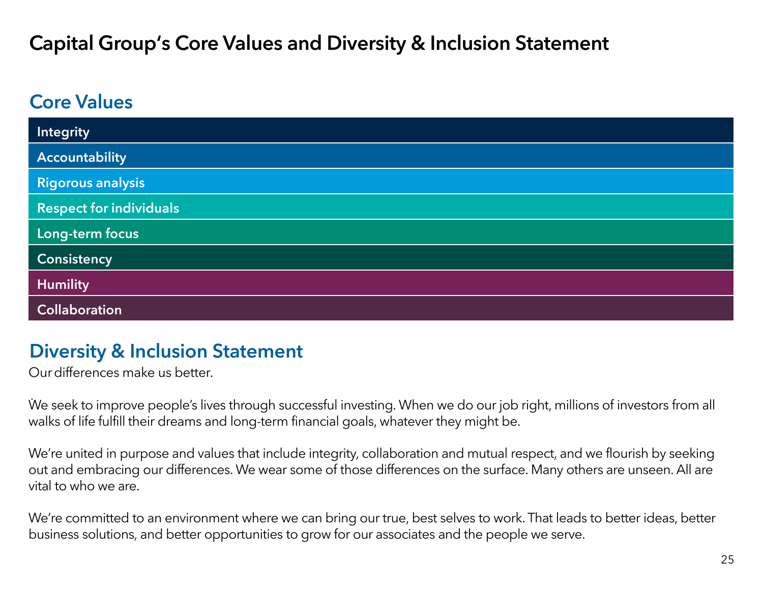## Capital Group's Core Values and Diversity & Inclusion Statement

## Core Values

| <b>Integrity</b>               |
|--------------------------------|
| <b>Accountability</b>          |
| <b>Rigorous analysis</b>       |
| <b>Respect for individuals</b> |
| Long-term focus                |
| <b>Consistency</b>             |
| <b>Humility</b>                |
| <b>Collaboration</b>           |

## Diversity & Inclusion Statement

Ourdifferences make us better.

We seek to improve people's lives through successful investing. When we do our job right, millions of investors from all . walks of life fulfill their dreams and long-term financial goals, whatever they might be.

We're united in purpose and values that include integrity, collaboration and mutual respect, and we flourish by seeking out and embracing our differences. We wear some of those differences on the surface. Many others are unseen. All are vital to who we are.

We're committed to an environment where we can bring our true, best selves to work. That leads to better ideas, better business solutions, and better opportunities to grow for our associates and the people we serve.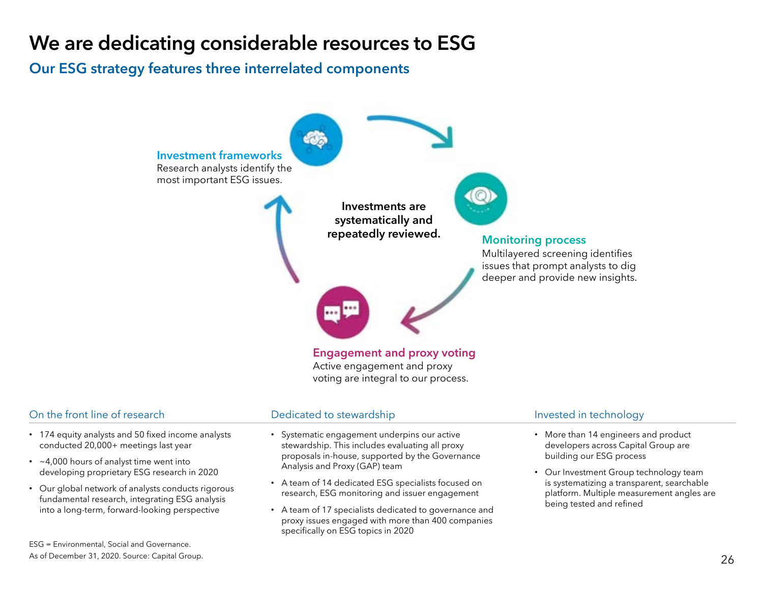## We are dedicating considerable resources to ESG

### Our ESG strategy features three interrelated components



voting are integral to our process.

#### On the front line of research

- 174 equity analysts and 50 fixed income analysts conducted 20,000+ meetings last year
- ~4,000 hours of analyst time went into developing proprietary ESG research in 2020
- Our global network of analysts conducts rigorous fundamental research, integrating ESG analysis into a long-term, forward-looking perspective

ESG = Environmental, Social and Governance. As of December 31, 2020. Source: Capital Group.

#### Dedicated to stewardship **Invested** in technology

- Systematic engagement underpins our active stewardship. This includes evaluating all proxy proposals in-house, supported by the Governance Analysis and Proxy (GAP) team
- A team of 14 dedicated ESG specialists focused on research, ESG monitoring and issuer engagement
- A team of 17 specialists dedicated to governance and proxy issues engaged with more than 400 companies specifically on ESG topics in 2020

- More than 14 engineers and product developers across Capital Group are building our ESG process
- Our Investment Group technology team is systematizing a transparent, searchable platform. Multiple measurement angles are being tested and refined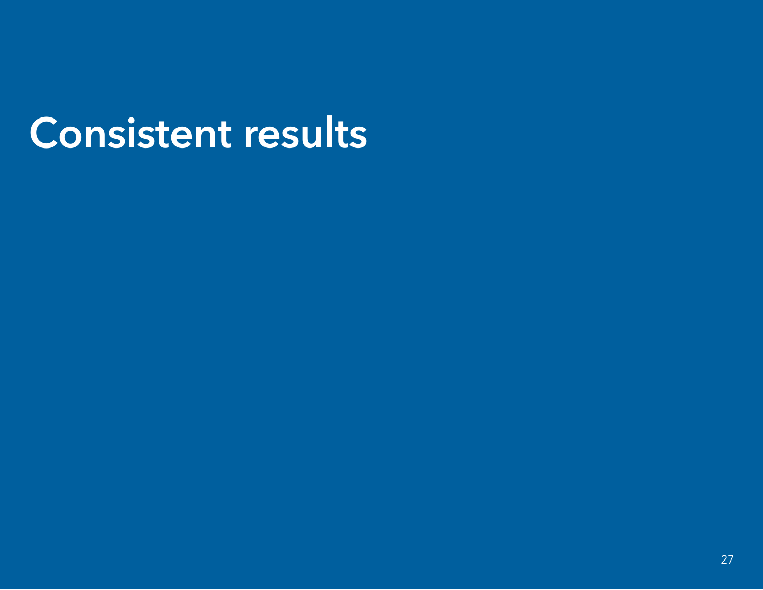# Consistent results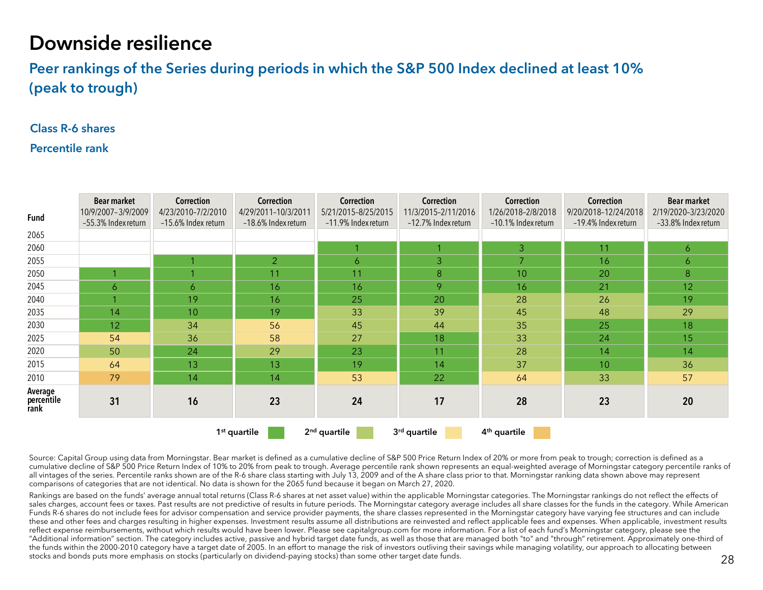## Downside resilience

Peer rankings of the Series during periods in which the S&P 500 Index declined at least 10% (peak to trough)

#### Class R-6 shares

#### Percentile rank

| <b>Fund</b>                   | <b>Bear market</b><br>10/9/2007-3/9/2009<br>-55.3% Index return | Correction<br>4/23/2010-7/2/2010<br>-15.6% Index return | Correction<br>4/29/2011-10/3/2011<br>-18.6% Index return | Correction<br>5/21/2015-8/25/2015<br>-11.9% Index return | Correction<br>11/3/2015-2/11/2016<br>-12.7% Index return | Correction<br>1/26/2018-2/8/2018<br>-10.1% Index return | <b>Correction</b><br>9/20/2018-12/24/2018<br>-19.4% Index return | <b>Bear market</b><br>2/19/2020-3/23/2020<br>-33.8% Index return |
|-------------------------------|-----------------------------------------------------------------|---------------------------------------------------------|----------------------------------------------------------|----------------------------------------------------------|----------------------------------------------------------|---------------------------------------------------------|------------------------------------------------------------------|------------------------------------------------------------------|
| 2065                          |                                                                 |                                                         |                                                          |                                                          |                                                          |                                                         |                                                                  |                                                                  |
| 2060                          |                                                                 |                                                         |                                                          | 1                                                        |                                                          | 3 <sup>1</sup>                                          | 11                                                               | $\ddot{\circ}$                                                   |
| 2055                          |                                                                 |                                                         | $\overline{2}$                                           | 6                                                        | 3                                                        | $\overline{7}$                                          | 16                                                               | $\overline{6}$                                                   |
| 2050                          |                                                                 |                                                         | 11                                                       | 11                                                       | 8                                                        | 10 <sup>°</sup>                                         | 20                                                               | 8                                                                |
| 2045                          | 6                                                               | 6                                                       | 16                                                       | 16                                                       | 9                                                        | 16                                                      | 21                                                               | 12                                                               |
| 2040                          |                                                                 | 19                                                      | 16                                                       | 25                                                       | 20                                                       | 28                                                      | 26                                                               | 19                                                               |
| 2035                          | 14                                                              | 10                                                      | 19                                                       | 33                                                       | 39                                                       | 45                                                      | 48                                                               | 29                                                               |
| 2030                          | 12                                                              | 34                                                      | 56                                                       | 45                                                       | 44                                                       | 35                                                      | 25                                                               | 18                                                               |
| 2025                          | 54                                                              | 36                                                      | 58                                                       | 27                                                       | 18                                                       | 33                                                      | 24                                                               | 15                                                               |
| 2020                          | 50                                                              | 24                                                      | 29                                                       | 23                                                       | 11                                                       | 28                                                      | 14                                                               | 14                                                               |
| 2015                          | 64                                                              | 13                                                      | 13                                                       | 19                                                       | 14                                                       | 37                                                      | 10                                                               | 36                                                               |
| 2010                          | 79                                                              | 14                                                      | 14                                                       | 53                                                       | 22                                                       | 64                                                      | 33                                                               | 57                                                               |
| Average<br>percentile<br>rank | 31                                                              | 16                                                      | 23                                                       | 24                                                       | 17                                                       | 28                                                      | 23                                                               | 20                                                               |
|                               |                                                                 |                                                         | 1 <sup>st</sup> quartile                                 | 2 <sup>nd</sup> quartile                                 | 3rd quartile                                             | 4 <sup>th</sup> quartile                                |                                                                  |                                                                  |

Source: Capital Group using data from Morningstar. Bear market is defined as a cumulative decline of S&P 500 Price Return Index of 20% or more from peak to trough; correction is defined as a cumulative decline of S&P 500 Price Return Index of 10% to 20% from peak to trough. Average percentile rank shown represents an equal-weighted average of Morningstar category percentile ranks of all vintages of the series. Percentile ranks shown are of the R-6 share class starting with July 13, 2009 and of the A share class prior to that. Morningstar ranking data shown above may represent comparisons of categories that are not identical. No data is shown for the 2065 fund because it began on March 27, 2020.

Rankings are based on the funds' average annual total returns (Class R-6 shares at net asset value) within the applicable Morningstar categories. The Morningstar rankings do not reflect the effects of sales charges, account fees or taxes. Past results are not predictive of results in future periods. The Morningstar category average includes all share classes for the funds in the category. While American Funds R-6 shares do not include fees for advisor compensation and service provider payments, the share classes represented in the Morningstar category have varying fee structures and can include these and other fees and charges resulting in higher expenses. Investment results assume all distributions are reinvested and reflect applicable fees and expenses. When applicable, investment results reflect expense reimbursements, without which results would have been lower. Please see capitalgroup.com for more information. For a list of each fund's Morningstar category, please see the "Additional information" section. The category includes active, passive and hybrid target date funds, as well as those that are managed both "to" and "through" retirement. Approximately one-third of the funds within the 2000-2010 category have a target date of 2005. In an effort to manage the risk of investors outliving their savings while managing volatility, our approach to allocating between stocks and bonds puts more emphasis on stocks (particularly on dividend-paying stocks) than some other target date funds.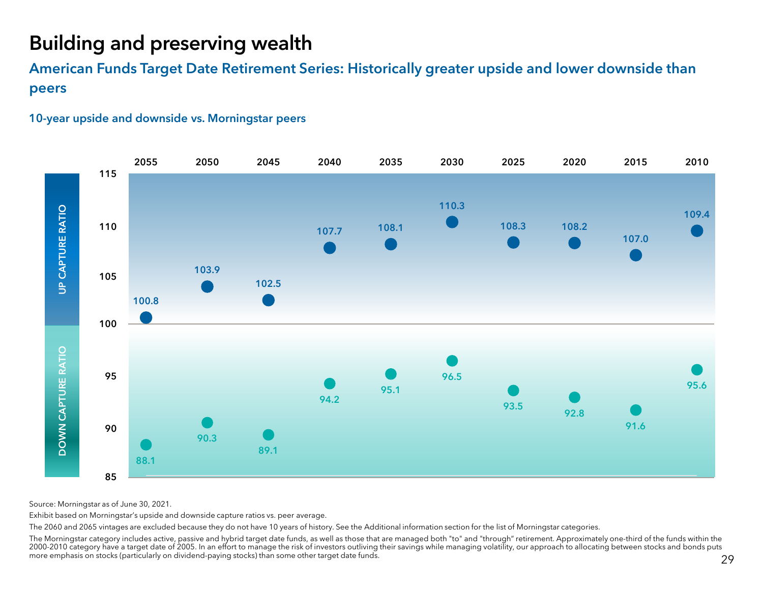## Building and preserving wealth

American Funds Target Date Retirement Series: Historically greater upside and lower downside than peers





Source: Morningstar as of June 30, 2021.

Exhibit based on Morningstar's upside and downside capture ratios vs. peer average.

The 2060 and 2065 vintages are excluded because they do not have 10 years of history. See the Additional information section for the list of Morningstar categories.

The Morningstar category includes active, passive and hybrid target date funds, as well as those that are managed both "to" and "through" retirement. Approximately one-third of the funds within the 2000-2010 category have a target date of 2005. In an effort to manage the risk of investors outliving their savings while managing volatility, our approach to allocating between stocks and bonds puts more emphasis on stocks (particularly on dividend-paying stocks) than some other target date funds.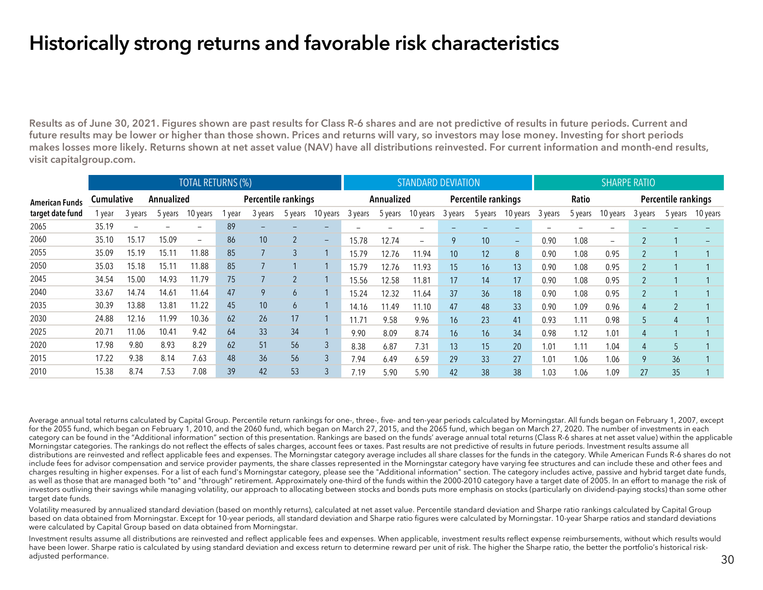## Historically strong returns and favorable risk characteristics

Results as of June 30, 2021. Figures shown are past results for Class R-6 shares and are not predictive of results in future periods. Current and future results may be lower or higher than those shown. Prices and returns will vary, so investors may lose money. Investing for short periods makes losses more likely. Returns shown at net asset value (NAV) have all distributions reinvested. For current information and month-end results, visit capitalgroup.com.

|                       |                          |         |         | <b>TOTAL RETURNS (%)</b> |                     |         |                |                          |            |         | <b>STANDARD DEVIATION</b> |                     |         | <b>SHARPE RATIO</b>      |              |         |                   |                     |                |                 |
|-----------------------|--------------------------|---------|---------|--------------------------|---------------------|---------|----------------|--------------------------|------------|---------|---------------------------|---------------------|---------|--------------------------|--------------|---------|-------------------|---------------------|----------------|-----------------|
| <b>American Funds</b> | Cumulative<br>Annualized |         |         |                          | Percentile rankings |         |                |                          | Annualized |         |                           | Percentile rankings |         |                          | <b>Ratio</b> |         |                   | Percentile rankings |                |                 |
| target date fund      | l year                   | 3 years | 5 years | 10 years                 | year                | 3 years | 5 years        | 10 years                 | 3 years    | 5 years | 10 years                  | 3 years             | 5 years | 10 years                 | 3 years      | 5 years | 10 years          | 3 years             | 5 years        | 10 years        |
| 2065                  | 35.19                    |         |         | $\overline{\phantom{0}}$ | 89                  |         |                |                          |            |         |                           |                     |         |                          |              |         |                   |                     |                |                 |
| 2060                  | 35.10                    | 15.17   | 15.09   | $\overline{\phantom{a}}$ | 86                  | 10      | $\overline{2}$ | $\overline{\phantom{0}}$ | 15.78      | 12.74   | $\overline{\phantom{a}}$  | <b>Q</b>            | 10      | $\overline{\phantom{m}}$ | 0.90         | 1.08    | $\qquad \qquad -$ | $\overline{2}$      |                | $\qquad \qquad$ |
| 2055                  | 35.09                    | 15.19   | 15.11   | 11.88                    | 85                  |         | 3              |                          | 15.79      | 12.76   | 11.94                     | 10 <sup>1</sup>     | 12      | 8                        | 0.90         | 1.08    | 0.95              | $\overline{2}$      |                |                 |
| 2050                  | 35.03                    | 15.18   | 15.11   | 11.88                    | 85                  |         |                |                          | 15.79      | 12.76   | 11.93                     | 15                  | 16      | 13                       | 0.90         | 1.08    | 0.95              | $\overline{2}$      |                |                 |
| 2045                  | 34.54                    | 15.00   | 14.93   | 11.79                    | 75                  |         |                |                          | 15.56      | 12.58   | 11.81                     | 17                  | 14      | 17                       | 0.90         | 1.08    | 0.95              | $\overline{2}$      |                |                 |
| 2040                  | 33.67                    | 14.74   | 14.61   | 11.64                    | 47                  | 9       | $\mathfrak b$  |                          | 15.24      | 12.32   | 11.64                     | 37                  | 36      | 18                       | 0.90         | 1.08    | 0.95              | 2                   |                |                 |
| 2035                  | 30.39                    | 13.88   | 13.81   | 11.22                    | 45                  | 10      | 6              |                          | 14.16      | 11.49   | 11.10                     | 47                  | 48      | 33                       | 0.90         | 1.09    | 0.96              | 4                   | $\overline{2}$ |                 |
| 2030                  | 24.88                    | 12.16   | 11.99   | 10.36                    | 62                  | 26      | 17             |                          | 11.71      | 9.58    | 9.96                      | 16                  | 23      | 41                       | 0.93         | 1.11    | 0.98              | 5                   | 4              |                 |
| 2025                  | 20.71                    | 11.06   | 10.41   | 9.42                     | 64                  | 33      | 34             |                          | 9.90       | 8.09    | 8.74                      | 16                  | 16      | 34                       | 0.98         | 1.12    | 1.01              | $\overline{4}$      |                |                 |
| 2020                  | 17.98                    | 9.80    | 8.93    | 8.29                     | 62                  | 51      | 56             | 3                        | 8.38       | 6.87    | 7.31                      | 13                  | 15      | 20                       | 1.01         | 1.11    | 1.04              | 4                   | 5              |                 |
| 2015                  | 17.22                    | 9.38    | 8.14    | 7.63                     | 48                  | 36      | 56             | 3                        | 7.94       | 6.49    | 6.59                      | 29                  | 33      | 27                       | 1.01         | 1.06    | 1.06              | 9                   | 36             |                 |
| 2010                  | 15.38                    | 8.74    | 7.53    | 7.08                     | 39                  | 42      | 53             | 3                        | 7.19       | 5.90    | 5.90                      | 42                  | 38      | 38                       | 1.03         | 1.06    | 1.09              | 27                  | 35             |                 |

Average annual total returns calculated by Capital Group. Percentile return rankings for one-, three-, five- and ten-year periods calculated by Morningstar. All funds began on February 1, 2007, except for the 2055 fund, which began on February 1, 2010, and the 2060 fund, which began on March 27, 2015, and the 2065 fund, which began on March 27, 2020. The number of investments in each category can be found in the "Additional information" section of this presentation. Rankings are based on the funds' average annual total returns (Class R-6 shares at net asset value) within the applicable Morningstar categories. The rankings do not reflect the effects of sales charges, account fees or taxes. Past results are not predictive of results in future periods. Investment results assume all distributions are reinvested and reflect applicable fees and expenses. The Morningstar category average includes all share classes for the funds in the category. While American Funds R-6 shares do not include fees for advisor compensation and service provider payments, the share classes represented in the Morningstar category have varying fee structures and can include these and other fees and charges resulting in higher expenses. For a list of each fund's Morningstar category, please see the "Additional information" section. The category includes active, passive and hybrid target date funds, as well as those that are managed both "to" and "through" retirement. Approximately one-third of the funds within the 2000-2010 category have a target date of 2005. In an effort to manage the risk of investors outliving their savings while managing volatility, our approach to allocating between stocks and bonds puts more emphasis on stocks (particularly on dividend-paying stocks) than some other target date funds.

Volatility measured by annualized standard deviation (based on monthly returns), calculated at net asset value. Percentile standard deviation and Sharpe ratio rankings calculated by Capital Group based on data obtained from Morningstar. Except for 10-year periods, all standard deviation and Sharpe ratio figures were calculated by Morningstar. 10-year Sharpe ratios and standard deviations were calculated by Capital Group based on data obtained from Morningstar.

Investment results assume all distributions are reinvested and reflect applicable fees and expenses. When applicable, investment results reflect expense reimbursements, without which results would have been lower. Sharpe ratio is calculated by using standard deviation and excess return to determine reward per unit of risk. The higher the Sharpe ratio, the better the portfolio's historical riskadjusted performance.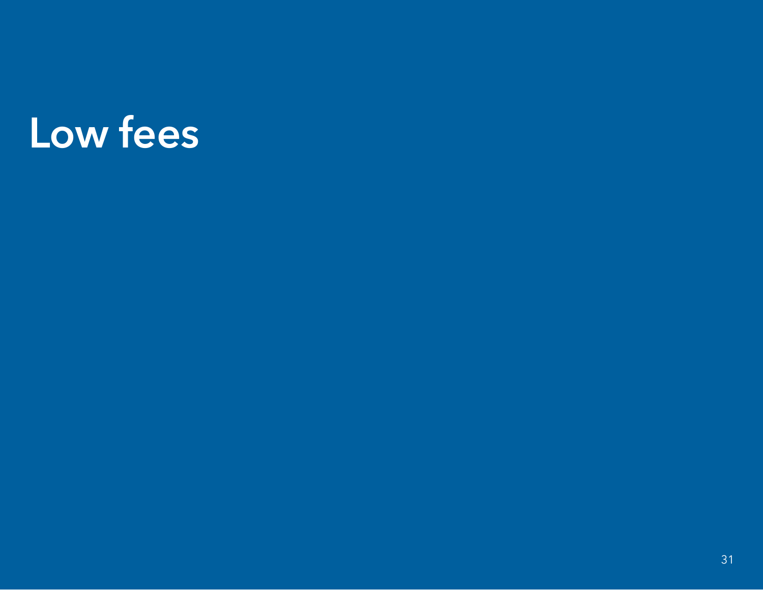# Low fees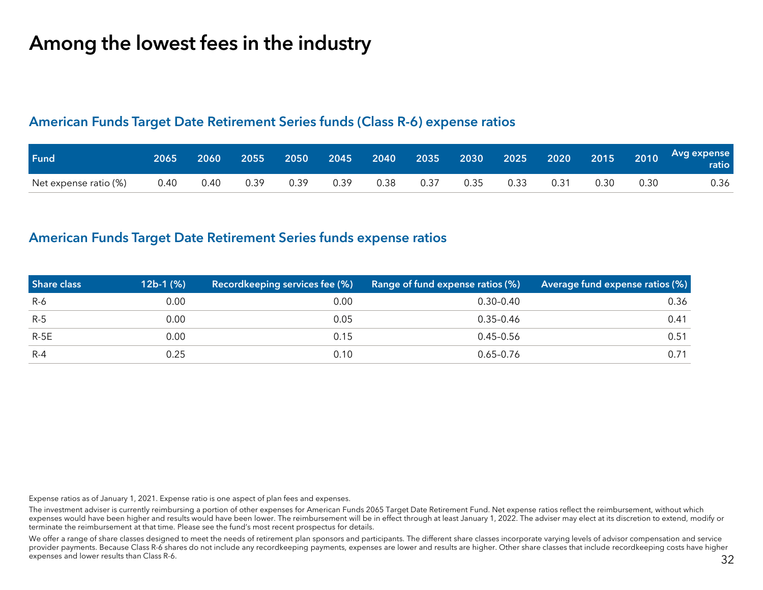## Among the lowest fees in the industry

#### American Funds Target Date Retirement Series funds (Class R-6) expense ratios

| Fund                  | 2065 | 2060 |      | 2055 2050 |      |      | 2045 2040 2035 2030 2025 2020 2015 2010 <sup> </sup> |      |      |      |      |      | Avg expense<br>  ratio |
|-----------------------|------|------|------|-----------|------|------|------------------------------------------------------|------|------|------|------|------|------------------------|
| Net expense ratio (%) | 0.40 | 0.40 | 0.39 | 0.39      | 0.39 | 0.38 | 0.37                                                 | 0.35 | 0.33 | 0.31 | 0.30 | 0.30 | 0.36                   |

#### American Funds Target Date Retirement Series funds expense ratios

| <b>Share class</b> | $12b-1$ (%) | Recordkeeping services fee (%) | Range of fund expense ratios (%) | Average fund expense ratios (%) |
|--------------------|-------------|--------------------------------|----------------------------------|---------------------------------|
| R-6                | 0.00        | 0.00                           | $0.30 - 0.40$                    | 0.36                            |
| $R-5$              | 0.00        | 0.05                           | $0.35 - 0.46$                    | 0.41                            |
| $R-5E$             | 0.00        | 0.15                           | 0.45–0.56                        | 0.51                            |
| $R - 4$            | 0.25        | 0.10                           | $0.65 - 0.76$                    | 0.71                            |

Expense ratios as of January 1, 2021. Expense ratio is one aspect of plan fees and expenses.

The investment adviser is currently reimbursing a portion of other expenses for American Funds 2065 Target Date Retirement Fund. Net expense ratios reflect the reimbursement, without which expenses would have been higher and results would have been lower. The reimbursement will be in effect through at least January 1, 2022. The adviser may elect at its discretion to extend, modify or terminate the reimbursement at that time. Please see the fund's most recent prospectus for details.

We offer a range of share classes designed to meet the needs of retirement plan sponsors and participants. The different share classes incorporate varying levels of advisor compensation and service provider payments. Because Class R-6 shares do not include any recordkeeping payments, expenses are lower and results are higher. Other share classes that include recordkeeping costs have higher expenses and lower results than Class R-6.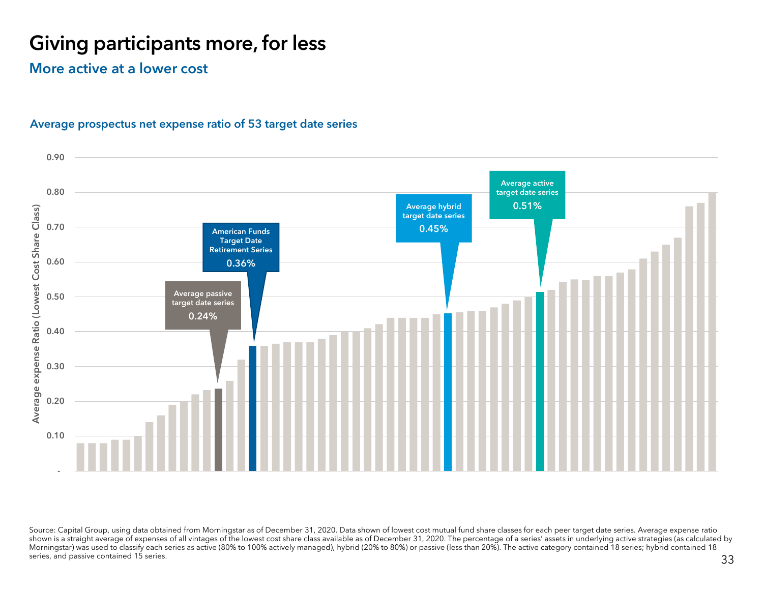## Giving participants more, for less

More active at a lower cost



#### Average prospectus net expense ratio of 53 target date series

Source: Capital Group, using data obtained from Morningstar as of December 31, 2020. Data shown of lowest cost mutual fund share classes for each peer target date series. Average expense ratio shown is a straight average of expenses of all vintages of the lowest cost share class available as of December 31, 2020. The percentage of a series' assets in underlying active strategies (as calculated by Morningstar) was used to classify each series as active (80% to 100% actively managed), hybrid (20% to 80%) or passive (less than 20%). The active category contained 18 series; hybrid contained 18 series, and passive contained 15 series.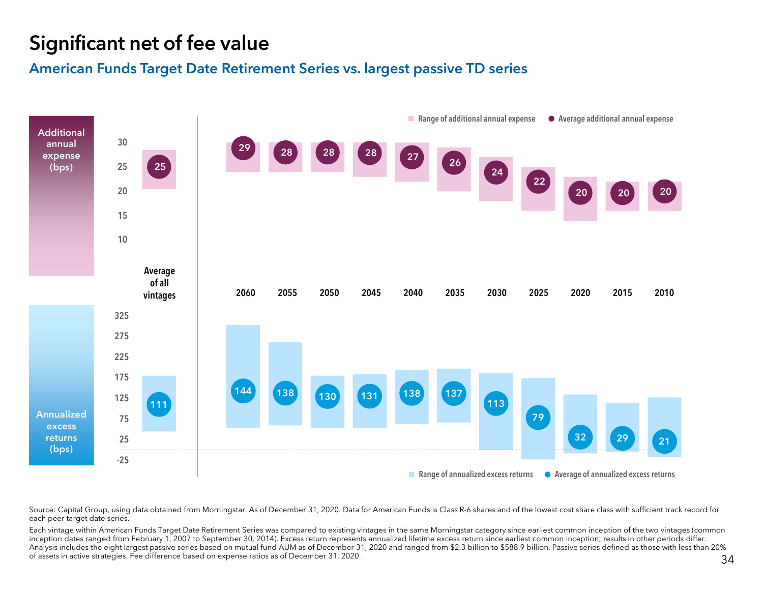## Significant net of fee value

### American Funds Target Date Retirement Series vs. largest passive TD series



Source: Capital Group, using data obtained from Morningstar. As of December 31, 2020. Data for American Funds is Class R-6 shares and of the lowest cost share class with sufficient track record for each peer target date series.

Each vintage within American Funds Target Date Retirement Series was compared to existing vintages in the same Morningstar category since earliest common inception of the two vintages (common inception dates ranged from February 1, 2007 to September 30, 2014). Excess return represents annualized lifetime excess return since earliest common inception; results in other periods differ. Analysis includes the eight largest passive series based on mutual fund AUM as of December 31, 2020 and ranged from \$2.3 billion to \$588.9 billion. Passive series defined as those with less than 20% of assets in active strategies. Fee difference based on expense ratios as of December 31, 2020.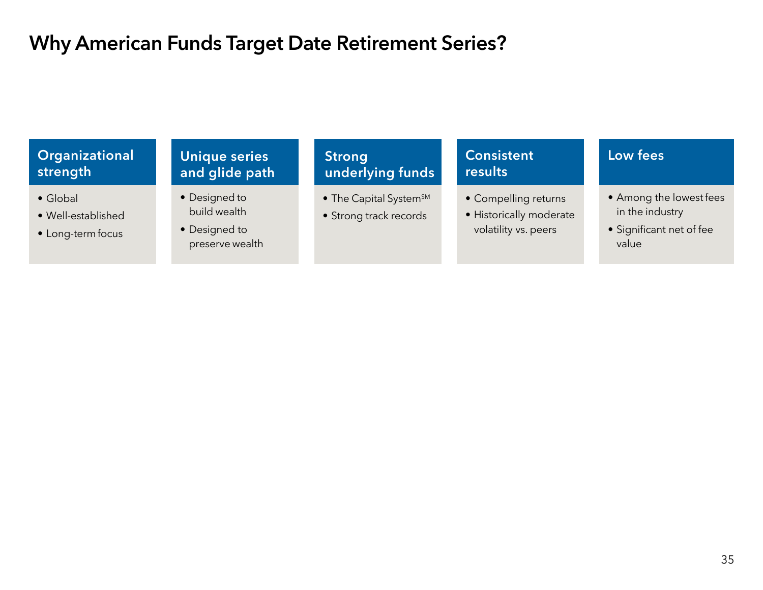## Why American Funds Target Date Retirement Series?

#### **Organizational** strength **Consistent** resultsLow fees • Global• Well-established• Long-term focus • Designed to build wealth• Designed to preserve wealth  $\bullet$  The Capital System $^{\text{\tiny{SM}}}$ • Strong track records • Compelling returns • Historically moderate volatility vs. peers • Among the lowest fees in the industry • Significant net of fee value Unique series and glide path **Strong** underlying funds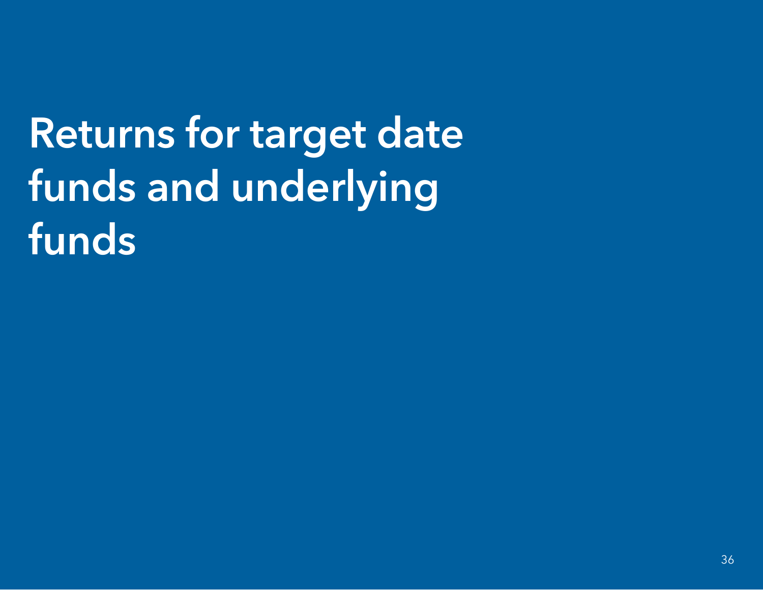# Returns for target date funds and underlying funds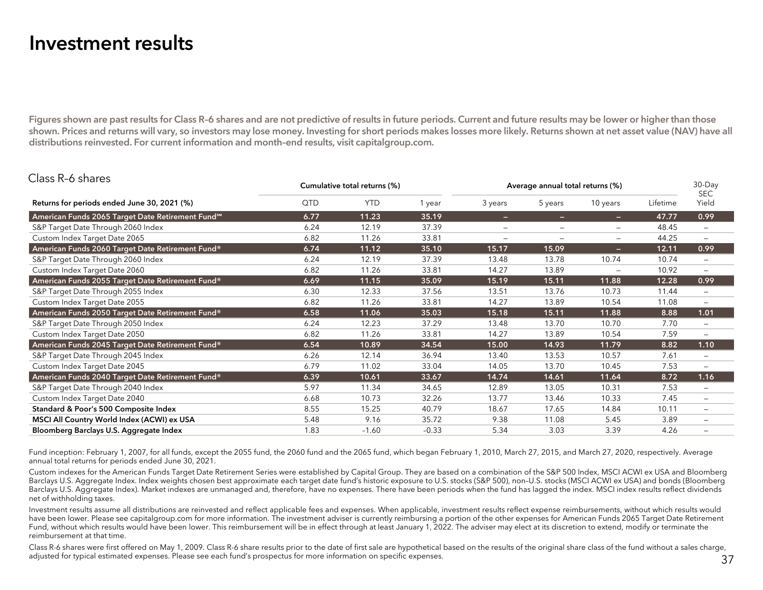## Investment results

 $\overline{P}$   $\overline{P}$ 

Figures shown are past results for Class R-6 shares and are not predictive of results in future periods. Current and future results may be lower or higher than those shown. Prices and returns will vary, so investors may lose money. Investing for short periods makes losses more likely. Returns shown at net asset value (NAV) have all distributions reinvested. For current information and month–end results, visit capitalgroup.com.

| Class R-6 shares                                              |      | Cumulative total returns (%) |         |                          | Average annual total returns (%) |                   |          | $30$ -Day<br><b>SEC</b>      |
|---------------------------------------------------------------|------|------------------------------|---------|--------------------------|----------------------------------|-------------------|----------|------------------------------|
| Returns for periods ended June 30, 2021 (%)                   | QTD  | <b>YTD</b>                   | 1 year  | 3 years                  | 5 years                          | 10 years          | Lifetime | Yield                        |
| American Funds 2065 Target Date Retirement Fund <sup>5M</sup> | 6.77 | 11.23                        | 35.19   | -                        | -                                | -                 | 47.77    | 0.99                         |
| S&P Target Date Through 2060 Index                            | 6.24 | 12.19                        | 37.39   | $\overline{\phantom{m}}$ | $\overline{\phantom{m}}$         | $\qquad \qquad -$ | 48.45    | $\overline{\phantom{m}}$     |
| Custom Index Target Date 2065                                 | 6.82 | 11.26                        | 33.81   | $\equiv$                 | -                                | $\qquad \qquad -$ | 44.25    | —                            |
| American Funds 2060 Target Date Retirement Fund®              | 6.74 | 11.12                        | 35.10   | 15.17                    | 15.09                            | -                 | 12.11    | 0.99                         |
| S&P Target Date Through 2060 Index                            | 6.24 | 12.19                        | 37.39   | 13.48                    | 13.78                            | 10.74             | 10.74    | $\qquad \qquad \blacksquare$ |
| Custom Index Target Date 2060                                 | 6.82 | 11.26                        | 33.81   | 14.27                    | 13.89                            | $\equiv$          | 10.92    | $\qquad \qquad \blacksquare$ |
| American Funds 2055 Target Date Retirement Fund®              | 6.69 | 11.15                        | 35.09   | 15.19                    | 15.11                            | 11.88             | 12.28    | 0.99                         |
| S&P Target Date Through 2055 Index                            | 6.30 | 12.33                        | 37.56   | 13.51                    | 13.76                            | 10.73             | 11.44    | $\qquad \qquad -$            |
| Custom Index Target Date 2055                                 | 6.82 | 11.26                        | 33.81   | 14.27                    | 13.89                            | 10.54             | 11.08    | -                            |
| American Funds 2050 Target Date Retirement Fund®              | 6.58 | 11.06                        | 35.03   | 15.18                    | 15.11                            | 11.88             | 8.88     | 1.01                         |
| S&P Target Date Through 2050 Index                            | 6.24 | 12.23                        | 37.29   | 13.48                    | 13.70                            | 10.70             | 7.70     | $\overline{\phantom{m}}$     |
| Custom Index Target Date 2050                                 | 6.82 | 11.26                        | 33.81   | 14.27                    | 13.89                            | 10.54             | 7.59     | $\overline{\phantom{m}}$     |
| American Funds 2045 Target Date Retirement Fund®              | 6.54 | 10.89                        | 34.54   | 15.00                    | 14.93                            | 11.79             | 8.82     | 1.10                         |
| S&P Target Date Through 2045 Index                            | 6.26 | 12.14                        | 36.94   | 13.40                    | 13.53                            | 10.57             | 7.61     | $\overline{\phantom{m}}$     |
| Custom Index Target Date 2045                                 | 6.79 | 11.02                        | 33.04   | 14.05                    | 13.70                            | 10.45             | 7.53     | $\qquad \qquad -$            |
| American Funds 2040 Target Date Retirement Fund®              | 6.39 | 10.61                        | 33.67   | 14.74                    | 14.61                            | 11.64             | 8.72     | 1.16                         |
| S&P Target Date Through 2040 Index                            | 5.97 | 11.34                        | 34.65   | 12.89                    | 13.05                            | 10.31             | 7.53     | $\qquad \qquad \blacksquare$ |
| Custom Index Target Date 2040                                 | 6.68 | 10.73                        | 32.26   | 13.77                    | 13.46                            | 10.33             | 7.45     | —                            |
| Standard & Poor's 500 Composite Index                         | 8.55 | 15.25                        | 40.79   | 18.67                    | 17.65                            | 14.84             | 10.11    | $\qquad \qquad \blacksquare$ |
| MSCI All Country World Index (ACWI) ex USA                    | 5.48 | 9.16                         | 35.72   | 9.38                     | 11.08                            | 5.45              | 3.89     | -                            |
| Bloomberg Barclays U.S. Aggregate Index                       | 1.83 | $-1.60$                      | $-0.33$ | 5.34                     | 3.03                             | 3.39              | 4.26     |                              |

Fund inception: February 1, 2007, for all funds, except the 2055 fund, the 2060 fund and the 2065 fund, which began February 1, 2010, March 27, 2015, and March 27, 2020, respectively. Average annual total returns for periods ended June 30, 2021.

Custom indexes for the American Funds Target Date Retirement Series were established by Capital Group. They are based on a combination of the S&P 500 Index, MSCI ACWI ex USA and Bloomberg Barclays U.S. Aggregate Index. Index weights chosen best approximate each target date fund's historic exposure to U.S. stocks (S&P 500), non–U.S. stocks (MSCI ACWI ex USA) and bonds (Bloomberg Barclays U.S. Aggregate Index). Market indexes are unmanaged and, therefore, have no expenses. There have been periods when the fund has lagged the index. MSCI index results reflect dividends net of withholding taxes.

Investment results assume all distributions are reinvested and reflect applicable fees and expenses. When applicable, investment results reflect expense reimbursements, without which results would have been lower. Please see capitalgroup.com for more information. The investment adviser is currently reimbursing a portion of the other expenses for American Funds 2065 Target Date Retirement Fund, without which results would have been lower. This reimbursement will be in effect through at least January 1, 2022. The adviser may elect at its discretion to extend, modify or terminate the reimbursement at that time.

Class R-6 shares were first offered on May 1, 2009. Class R-6 share results prior to the date of first sale are hypothetical based on the results of the original share class of the fund without a sales charge, adjusted for typical estimated expenses. Please see each fund's prospectus for more information on specific expenses.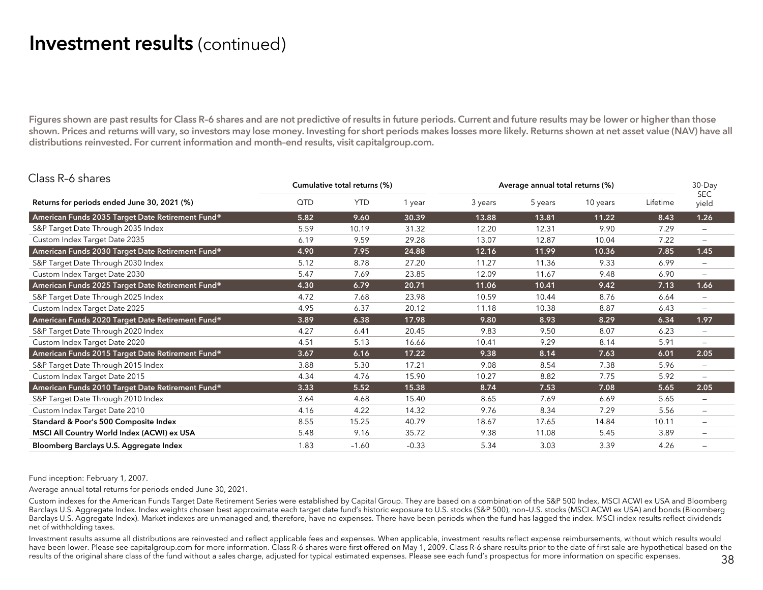## Investment results (continued)

Figures shown are past results for Class R-6 shares and are not predictive of results in future periods. Current and future results may be lower or higher than those shown. Prices and returns will vary, so investors may lose money. Investing for short periods makes losses more likely. Returns shown at net asset value (NAV) have all distributions reinvested. For current information and month–end results, visit capitalgroup.com.

| Class R-6 shares                                 |      | Cumulative total returns (%) |         | Average annual total returns (%) |         |          |          | 30-Day                   |  |
|--------------------------------------------------|------|------------------------------|---------|----------------------------------|---------|----------|----------|--------------------------|--|
| Returns for periods ended June 30, 2021 (%)      | QTD  | <b>YTD</b>                   | 1 year  | 3 years                          | 5 years | 10 years | Lifetime | <b>SEC</b><br>yield      |  |
| American Funds 2035 Target Date Retirement Fund® | 5.82 | 9.60                         | 30.39   | 13.88                            | 13.81   | 11.22    | 8.43     | 1.26                     |  |
| S&P Target Date Through 2035 Index               | 5.59 | 10.19                        | 31.32   | 12.20                            | 12.31   | 9.90     | 7.29     | $\overline{\phantom{0}}$ |  |
| Custom Index Target Date 2035                    | 6.19 | 9.59                         | 29.28   | 13.07                            | 12.87   | 10.04    | 7.22     | $\overline{\phantom{m}}$ |  |
| American Funds 2030 Target Date Retirement Fund® | 4.90 | 7.95                         | 24.88   | 12.16                            | 11.99   | 10.36    | 7.85     | 1.45                     |  |
| S&P Target Date Through 2030 Index               | 5.12 | 8.78                         | 27.20   | 11.27                            | 11.36   | 9.33     | 6.99     | $\overline{\phantom{m}}$ |  |
| Custom Index Target Date 2030                    | 5.47 | 7.69                         | 23.85   | 12.09                            | 11.67   | 9.48     | 6.90     | $\overline{\phantom{m}}$ |  |
| American Funds 2025 Target Date Retirement Fund® | 4.30 | 6.79                         | 20.71   | 11.06                            | 10.41   | 9.42     | 7.13     | 1.66                     |  |
| S&P Target Date Through 2025 Index               | 4.72 | 7.68                         | 23.98   | 10.59                            | 10.44   | 8.76     | 6.64     |                          |  |
| Custom Index Target Date 2025                    | 4.95 | 6.37                         | 20.12   | 11.18                            | 10.38   | 8.87     | 6.43     | $\overline{\phantom{m}}$ |  |
| American Funds 2020 Target Date Retirement Fund® | 3.89 | 6.38                         | 17.98   | 9.80                             | 8.93    | 8.29     | 6.34     | 1.97                     |  |
| S&P Target Date Through 2020 Index               | 4.27 | 6.41                         | 20.45   | 9.83                             | 9.50    | 8.07     | 6.23     | $\overline{\phantom{a}}$ |  |
| Custom Index Target Date 2020                    | 4.51 | 5.13                         | 16.66   | 10.41                            | 9.29    | 8.14     | 5.91     | $\overline{\phantom{m}}$ |  |
| American Funds 2015 Target Date Retirement Fund® | 3.67 | 6.16                         | 17.22   | 9.38                             | 8.14    | 7.63     | 6.01     | 2.05                     |  |
| S&P Target Date Through 2015 Index               | 3.88 | 5.30                         | 17.21   | 9.08                             | 8.54    | 7.38     | 5.96     | $\overline{\phantom{m}}$ |  |
| Custom Index Target Date 2015                    | 4.34 | 4.76                         | 15.90   | 10.27                            | 8.82    | 7.75     | 5.92     | $\overline{\phantom{m}}$ |  |
| American Funds 2010 Target Date Retirement Fund® | 3.33 | 5.52                         | 15.38   | 8.74                             | 7.53    | 7.08     | 5.65     | 2.05                     |  |
| S&P Target Date Through 2010 Index               | 3.64 | 4.68                         | 15.40   | 8.65                             | 7.69    | 6.69     | 5.65     | $\overline{\phantom{m}}$ |  |
| Custom Index Target Date 2010                    | 4.16 | 4.22                         | 14.32   | 9.76                             | 8.34    | 7.29     | 5.56     | $\overline{\phantom{m}}$ |  |
| Standard & Poor's 500 Composite Index            | 8.55 | 15.25                        | 40.79   | 18.67                            | 17.65   | 14.84    | 10.11    | $\overline{\phantom{m}}$ |  |
| MSCI All Country World Index (ACWI) ex USA       | 5.48 | 9.16                         | 35.72   | 9.38                             | 11.08   | 5.45     | 3.89     | $\overline{\phantom{m}}$ |  |
| Bloomberg Barclays U.S. Aggregate Index          | 1.83 | $-1.60$                      | $-0.33$ | 5.34                             | 3.03    | 3.39     | 4.26     |                          |  |

Fund inception: February 1, 2007.

 $\overline{P}$   $\overline{P}$ 

Average annual total returns for periods ended June 30, 2021.

Custom indexes for the American Funds Target Date Retirement Series were established by Capital Group. They are based on a combination of the S&P 500 Index, MSCI ACWI ex USA and Bloomberg Barclays U.S. Aggregate Index. Index weights chosen best approximate each target date fund's historic exposure to U.S. stocks (S&P 500), non–U.S. stocks (MSCI ACWI ex USA) and bonds (Bloomberg Barclays U.S. Aggregate Index). Market indexes are unmanaged and, therefore, have no expenses. There have been periods when the fund has lagged the index. MSCI index results reflect dividends net of withholding taxes.

Investment results assume all distributions are reinvested and reflect applicable fees and expenses. When applicable, investment results reflect expense reimbursements, without which results would have been lower. Please see capitalgroup.com for more information. Class R-6 shares were first offered on May 1, 2009. Class R-6 share results prior to the date of first sale are hypothetical based on the results of the original share class of the fund without a sales charge, adjusted for typical estimated expenses. Please see each fund's prospectus for more information on specific expenses.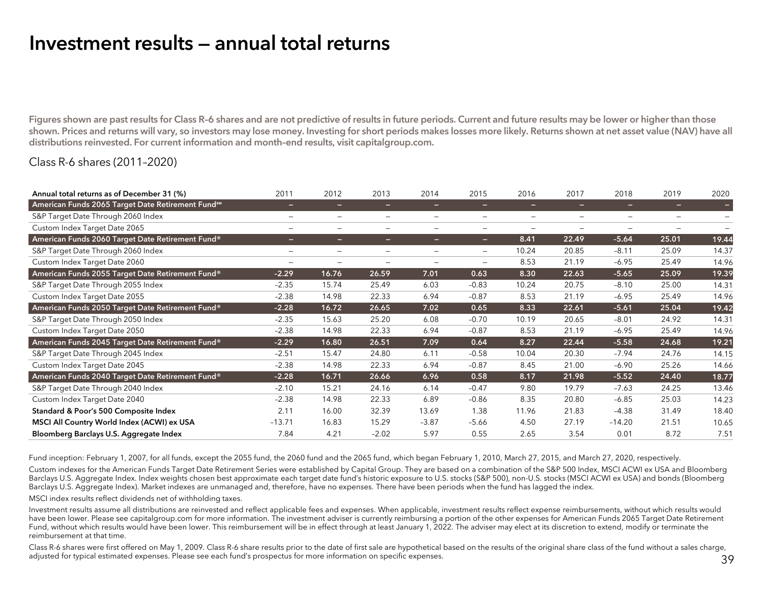## Investment results — annual total returns

Figures shown are past results for Class R-6 shares and are not predictive of results in future periods. Current and future results may be lower or higher than those shown. Prices and returns will vary, so investors may lose money. Investing for short periods makes losses more likely. Returns shown at net asset value (NAV) have all distributions reinvested. For current information and month–end results, visit capitalgroup.com.

#### Class R-6 shares (2011–2020)

| Annual total returns as of December 31 (%)        | 2011                     | 2012                         | 2013            | 2014                         | 2015                         | 2016              | 2017                     | 2018     | 2019                         | 2020  |
|---------------------------------------------------|--------------------------|------------------------------|-----------------|------------------------------|------------------------------|-------------------|--------------------------|----------|------------------------------|-------|
| American Funds 2065 Target Date Retirement Fundsm | -                        | -                            | -               | -                            | -                            | -                 | -                        | -        | -                            | Е     |
| S&P Target Date Through 2060 Index                | $\overline{\phantom{0}}$ | $\qquad \qquad -$            | $\qquad \qquad$ | $\overline{\phantom{a}}$     | $\qquad \qquad$              | $\qquad \qquad -$ | $\overline{\phantom{m}}$ |          | $\qquad \qquad \blacksquare$ |       |
| Custom Index Target Date 2065                     | $\qquad \qquad -$        | $\qquad \qquad -$            | $\equiv$        | $\overline{\phantom{m}}$     | $\qquad \qquad =$            | $\qquad \qquad =$ | $\qquad \qquad$          | $\equiv$ | $\qquad \qquad -$            |       |
| American Funds 2060 Target Date Retirement Fund®  |                          | -                            | -               | -                            | -                            | 8.41              | 22.49                    | $-5.64$  | 25.01                        | 19.44 |
| S&P Target Date Through 2060 Index                | $\overline{\phantom{0}}$ | $\qquad \qquad \blacksquare$ | $\qquad \qquad$ | $\qquad \qquad \blacksquare$ | $\qquad \qquad \blacksquare$ | 10.24             | 20.85                    | $-8.11$  | 25.09                        | 14.37 |
| Custom Index Target Date 2060                     | -                        |                              | $\qquad \qquad$ | $\qquad \qquad$              | $\equiv$                     | 8.53              | 21.19                    | $-6.95$  | 25.49                        | 14.96 |
| American Funds 2055 Target Date Retirement Fund®  | $-2.29$                  | 16.76                        | 26.59           | 7.01                         | 0.63                         | 8.30              | 22.63                    | $-5.65$  | 25.09                        | 19.39 |
| S&P Target Date Through 2055 Index                | $-2.35$                  | 15.74                        | 25.49           | 6.03                         | $-0.83$                      | 10.24             | 20.75                    | $-8.10$  | 25.00                        | 14.31 |
| Custom Index Target Date 2055                     | $-2.38$                  | 14.98                        | 22.33           | 6.94                         | $-0.87$                      | 8.53              | 21.19                    | $-6.95$  | 25.49                        | 14.96 |
| American Funds 2050 Target Date Retirement Fund®  | $-2.28$                  | 16.72                        | 26.65           | 7.02                         | 0.65                         | 8.33              | 22.61                    | $-5.61$  | 25.04                        | 19.42 |
| S&P Target Date Through 2050 Index                | $-2.35$                  | 15.63                        | 25.20           | 6.08                         | $-0.70$                      | 10.19             | 20.65                    | $-8.01$  | 24.92                        | 14.31 |
| Custom Index Target Date 2050                     | $-2.38$                  | 14.98                        | 22.33           | 6.94                         | $-0.87$                      | 8.53              | 21.19                    | $-6.95$  | 25.49                        | 14.96 |
| American Funds 2045 Target Date Retirement Fund®  | $-2.29$                  | 16.80                        | 26.51           | 7.09                         | 0.64                         | 8.27              | 22.44                    | $-5.58$  | 24.68                        | 19.21 |
| S&P Target Date Through 2045 Index                | $-2.51$                  | 15.47                        | 24.80           | 6.11                         | $-0.58$                      | 10.04             | 20.30                    | $-7.94$  | 24.76                        | 14.15 |
| Custom Index Target Date 2045                     | $-2.38$                  | 14.98                        | 22.33           | 6.94                         | $-0.87$                      | 8.45              | 21.00                    | $-6.90$  | 25.26                        | 14.66 |
| American Funds 2040 Target Date Retirement Fund®  | $-2.28$                  | 16.71                        | 26.66           | 6.96                         | 0.58                         | 8.17              | 21.98                    | $-5.52$  | 24.40                        | 18.77 |
| S&P Target Date Through 2040 Index                | $-2.10$                  | 15.21                        | 24.16           | 6.14                         | $-0.47$                      | 9.80              | 19.79                    | $-7.63$  | 24.25                        | 13.46 |
| Custom Index Target Date 2040                     | $-2.38$                  | 14.98                        | 22.33           | 6.89                         | $-0.86$                      | 8.35              | 20.80                    | $-6.85$  | 25.03                        | 14.23 |
| Standard & Poor's 500 Composite Index             | 2.11                     | 16.00                        | 32.39           | 13.69                        | 1.38                         | 11.96             | 21.83                    | $-4.38$  | 31.49                        | 18.40 |
| MSCI All Country World Index (ACWI) ex USA        | $-13.71$                 | 16.83                        | 15.29           | $-3.87$                      | $-5.66$                      | 4.50              | 27.19                    | $-14.20$ | 21.51                        | 10.65 |
| Bloomberg Barclays U.S. Aggregate Index           | 7.84                     | 4.21                         | $-2.02$         | 5.97                         | 0.55                         | 2.65              | 3.54                     | 0.01     | 8.72                         | 7.51  |

Fund inception: February 1, 2007, for all funds, except the 2055 fund, the 2060 fund and the 2065 fund, which began February 1, 2010, March 27, 2015, and March 27, 2020, respectively.

Custom indexes for the American Funds Target Date Retirement Series were established by Capital Group. They are based on a combination of the S&P 500 Index, MSCI ACWI ex USA and Bloomberg Barclays U.S. Aggregate Index. Index weights chosen best approximate each target date fund's historic exposure to U.S. stocks (S&P 500), non-U.S. stocks (MSCI ACWI ex USA) and bonds (Bloomberg Barclays U.S. Aggregate Index). Market indexes are unmanaged and, therefore, have no expenses. There have been periods when the fund has lagged the index.

MSCI index results reflect dividends net of withholding taxes.

Investment results assume all distributions are reinvested and reflect applicable fees and expenses. When applicable, investment results reflect expense reimbursements, without which results would have been lower. Please see capitalgroup.com for more information. The investment adviser is currently reimbursing a portion of the other expenses for American Funds 2065 Target Date Retirement Fund, without which results would have been lower. This reimbursement will be in effect through at least January 1, 2022. The adviser may elect at its discretion to extend, modify or terminate the reimbursement at that time.

Class R-6 shares were first offered on May 1, 2009. Class R-6 share results prior to the date of first sale are hypothetical based on the results of the original share class of the fund without a sales charge, adjusted for typical estimated expenses. Please see each fund's prospectus for more information on specific expenses.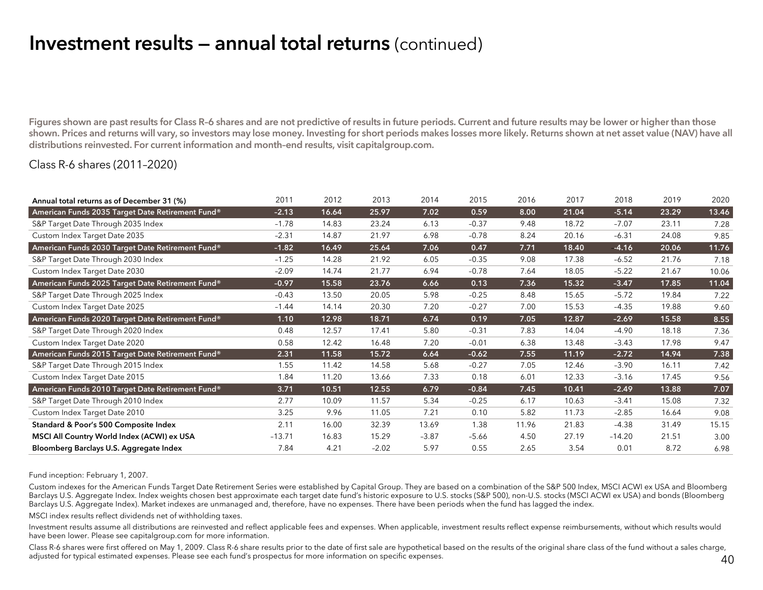## Investment results — annual total returns (continued)

Figures shown are past results for Class R–6 shares and are not predictive of results in future periods. Current and future results may be lower or higher than those shown. Prices and returns will vary, so investors may lose money. Investing for short periods makes losses more likely. Returns shown at net asset value (NAV) have all distributions reinvested. For current information and month–end results, visit capitalgroup.com.

#### Class R-6 shares (2011–2020)

| Annual total returns as of December 31 (%)       | 2011     | 2012  | 2013    | 2014    | 2015    | 2016  | 2017  | 2018     | 2019  | 2020  |
|--------------------------------------------------|----------|-------|---------|---------|---------|-------|-------|----------|-------|-------|
| American Funds 2035 Target Date Retirement Fund® | $-2.13$  | 16.64 | 25.97   | 7.02    | 0.59    | 8.00  | 21.04 | $-5.14$  | 23.29 | 13.46 |
| S&P Target Date Through 2035 Index               | $-1.78$  | 14.83 | 23.24   | 6.13    | $-0.37$ | 9.48  | 18.72 | $-7.07$  | 23.11 | 7.28  |
| Custom Index Target Date 2035                    | $-2.31$  | 14.87 | 21.97   | 6.98    | $-0.78$ | 8.24  | 20.16 | $-6.31$  | 24.08 | 9.85  |
| American Funds 2030 Target Date Retirement Fund® | $-1.82$  | 16.49 | 25.64   | 7.06    | 0.47    | 7.71  | 18.40 | $-4.16$  | 20.06 | 11.76 |
| S&P Target Date Through 2030 Index               | $-1.25$  | 14.28 | 21.92   | 6.05    | $-0.35$ | 9.08  | 17.38 | $-6.52$  | 21.76 | 7.18  |
| Custom Index Target Date 2030                    | $-2.09$  | 14.74 | 21.77   | 6.94    | $-0.78$ | 7.64  | 18.05 | $-5.22$  | 21.67 | 10.06 |
| American Funds 2025 Target Date Retirement Fund® | $-0.97$  | 15.58 | 23.76   | 6.66    | 0.13    | 7.36  | 15.32 | $-3.47$  | 17.85 | 11.04 |
| S&P Target Date Through 2025 Index               | $-0.43$  | 13.50 | 20.05   | 5.98    | $-0.25$ | 8.48  | 15.65 | $-5.72$  | 19.84 | 7.22  |
| Custom Index Target Date 2025                    | $-1.44$  | 14.14 | 20.30   | 7.20    | $-0.27$ | 7.00  | 15.53 | $-4.35$  | 19.88 | 9.60  |
| American Funds 2020 Target Date Retirement Fund® | 1.10     | 12.98 | 18.71   | 6.74    | 0.19    | 7.05  | 12.87 | $-2.69$  | 15.58 | 8.55  |
| S&P Target Date Through 2020 Index               | 0.48     | 12.57 | 17.41   | 5.80    | $-0.31$ | 7.83  | 14.04 | $-4.90$  | 18.18 | 7.36  |
| Custom Index Target Date 2020                    | 0.58     | 12.42 | 16.48   | 7.20    | $-0.01$ | 6.38  | 13.48 | $-3.43$  | 17.98 | 9.47  |
| American Funds 2015 Target Date Retirement Fund® | 2.31     | 11.58 | 15.72   | 6.64    | $-0.62$ | 7.55  | 11.19 | $-2.72$  | 14.94 | 7.38  |
| S&P Target Date Through 2015 Index               | 1.55     | 11.42 | 14.58   | 5.68    | $-0.27$ | 7.05  | 12.46 | $-3.90$  | 16.11 | 7.42  |
| Custom Index Target Date 2015                    | 1.84     | 11.20 | 13.66   | 7.33    | 0.18    | 6.01  | 12.33 | $-3.16$  | 17.45 | 9.56  |
| American Funds 2010 Target Date Retirement Fund® | 3.71     | 10.51 | 12.55   | 6.79    | $-0.84$ | 7.45  | 10.41 | $-2.49$  | 13.88 | 7.07  |
| S&P Target Date Through 2010 Index               | 2.77     | 10.09 | 11.57   | 5.34    | $-0.25$ | 6.17  | 10.63 | $-3.41$  | 15.08 | 7.32  |
| Custom Index Target Date 2010                    | 3.25     | 9.96  | 11.05   | 7.21    | 0.10    | 5.82  | 11.73 | $-2.85$  | 16.64 | 9.08  |
| Standard & Poor's 500 Composite Index            | 2.11     | 16.00 | 32.39   | 13.69   | 1.38    | 11.96 | 21.83 | $-4.38$  | 31.49 | 15.15 |
| MSCI All Country World Index (ACWI) ex USA       | $-13.71$ | 16.83 | 15.29   | $-3.87$ | $-5.66$ | 4.50  | 27.19 | $-14.20$ | 21.51 | 3.00  |
| Bloomberg Barclays U.S. Aggregate Index          | 7.84     | 4.21  | $-2.02$ | 5.97    | 0.55    | 2.65  | 3.54  | 0.01     | 8.72  | 6.98  |

Fund inception: February 1, 2007.

Custom indexes for the American Funds Target Date Retirement Series were established by Capital Group. They are based on a combination of the S&P 500 Index, MSCI ACWI ex USA and Bloomberg Barclays U.S. Aggregate Index. Index weights chosen best approximate each target date fund's historic exposure to U.S. stocks (S&P 500), non-U.S. stocks (MSCI ACWI ex USA) and bonds (Bloomberg Barclays U.S. Aggregate Index). Market indexes are unmanaged and, therefore, have no expenses. There have been periods when the fund has lagged the index.

MSCI index results reflect dividends net of withholding taxes.

Investment results assume all distributions are reinvested and reflect applicable fees and expenses. When applicable, investment results reflect expense reimbursements, without which results would have been lower. Please see capitalgroup.com for more information.

Class R-6 shares were first offered on May 1, 2009. Class R-6 share results prior to the date of first sale are hypothetical based on the results of the original share class of the fund without a sales charge, adjusted for typical estimated expenses. Please see each fund's prospectus for more information on specific expenses.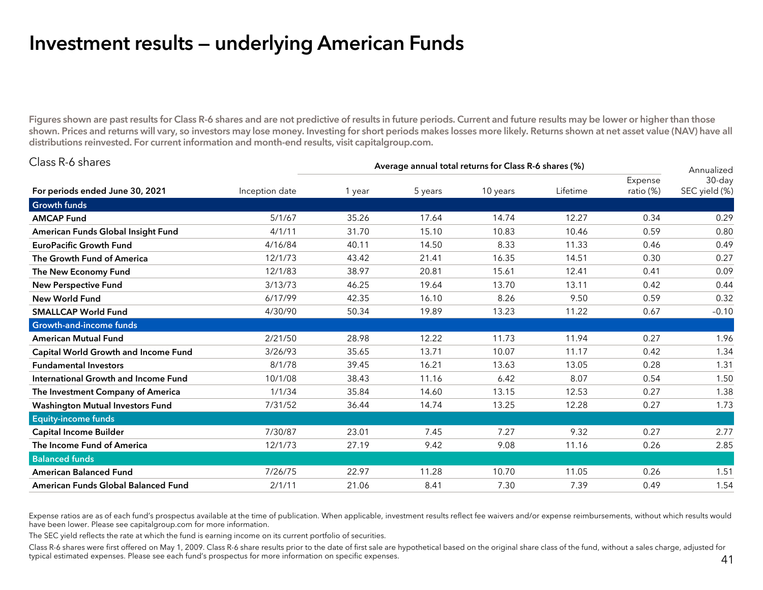## Investment results — underlying American Funds

Figures shown are past results for Class R-6 shares and are not predictive of results in future periods. Current and future results may be lower or higher than those shown. Prices and returns will vary, so investors may lose money. Investing for short periods makes losses more likely. Returns shown at net asset value (NAV) have all distributions reinvested. For current information and month-end results, visit capitalgroup.com.

| Class R-6 shares                        |                | Average annual total returns for Class R-6 shares (%) |         |          |          |                      |                                       |  |  |  |
|-----------------------------------------|----------------|-------------------------------------------------------|---------|----------|----------|----------------------|---------------------------------------|--|--|--|
| For periods ended June 30, 2021         | Inception date | 1 year                                                | 5 years | 10 years | Lifetime | Expense<br>ratio (%) | Annualized<br>30-day<br>SEC yield (%) |  |  |  |
| <b>Growth funds</b>                     |                |                                                       |         |          |          |                      |                                       |  |  |  |
| <b>AMCAP Fund</b>                       | 5/1/67         | 35.26                                                 | 17.64   | 14.74    | 12.27    | 0.34                 | 0.29                                  |  |  |  |
| American Funds Global Insight Fund      | 4/1/11         | 31.70                                                 | 15.10   | 10.83    | 10.46    | 0.59                 | 0.80                                  |  |  |  |
| <b>EuroPacific Growth Fund</b>          | 4/16/84        | 40.11                                                 | 14.50   | 8.33     | 11.33    | 0.46                 | 0.49                                  |  |  |  |
| The Growth Fund of America              | 12/1/73        | 43.42                                                 | 21.41   | 16.35    | 14.51    | 0.30                 | 0.27                                  |  |  |  |
| The New Economy Fund                    | 12/1/83        | 38.97                                                 | 20.81   | 15.61    | 12.41    | 0.41                 | 0.09                                  |  |  |  |
| <b>New Perspective Fund</b>             | 3/13/73        | 46.25                                                 | 19.64   | 13.70    | 13.11    | 0.42                 | 0.44                                  |  |  |  |
| <b>New World Fund</b>                   | 6/17/99        | 42.35                                                 | 16.10   | 8.26     | 9.50     | 0.59                 | 0.32                                  |  |  |  |
| <b>SMALLCAP World Fund</b>              | 4/30/90        | 50.34                                                 | 19.89   | 13.23    | 11.22    | 0.67                 | $-0.10$                               |  |  |  |
| Growth-and-income funds                 |                |                                                       |         |          |          |                      |                                       |  |  |  |
| <b>American Mutual Fund</b>             | 2/21/50        | 28.98                                                 | 12.22   | 11.73    | 11.94    | 0.27                 | 1.96                                  |  |  |  |
| Capital World Growth and Income Fund    | 3/26/93        | 35.65                                                 | 13.71   | 10.07    | 11.17    | 0.42                 | 1.34                                  |  |  |  |
| <b>Fundamental Investors</b>            | 8/1/78         | 39.45                                                 | 16.21   | 13.63    | 13.05    | 0.28                 | 1.31                                  |  |  |  |
| International Growth and Income Fund    | 10/1/08        | 38.43                                                 | 11.16   | 6.42     | 8.07     | 0.54                 | 1.50                                  |  |  |  |
| The Investment Company of America       | 1/1/34         | 35.84                                                 | 14.60   | 13.15    | 12.53    | 0.27                 | 1.38                                  |  |  |  |
| <b>Washington Mutual Investors Fund</b> | 7/31/52        | 36.44                                                 | 14.74   | 13.25    | 12.28    | 0.27                 | 1.73                                  |  |  |  |
| <b>Equity-income funds</b>              |                |                                                       |         |          |          |                      |                                       |  |  |  |
| <b>Capital Income Builder</b>           | 7/30/87        | 23.01                                                 | 7.45    | 7.27     | 9.32     | 0.27                 | 2.77                                  |  |  |  |
| The Income Fund of America              | 12/1/73        | 27.19                                                 | 9.42    | 9.08     | 11.16    | 0.26                 | 2.85                                  |  |  |  |
| <b>Balanced funds</b>                   |                |                                                       |         |          |          |                      |                                       |  |  |  |
| <b>American Balanced Fund</b>           | 7/26/75        | 22.97                                                 | 11.28   | 10.70    | 11.05    | 0.26                 | 1.51                                  |  |  |  |
| American Funds Global Balanced Fund     | 2/1/11         | 21.06                                                 | 8.41    | 7.30     | 7.39     | 0.49                 | 1.54                                  |  |  |  |

Expense ratios are as of each fund's prospectus available at the time of publication. When applicable, investment results reflect fee waivers and/or expense reimbursements, without which results would have been lower. Please see capitalgroup.com for more information.

The SEC yield reflects the rate at which the fund is earning income on its current portfolio of securities.

Class R-6 shares were first offered on May 1, 2009. Class R-6 share results prior to the date of first sale are hypothetical based on the original share class of the fund, without a sales charge, adjusted for typical estimated expenses. Please see each fund's prospectus for more information on specific expenses.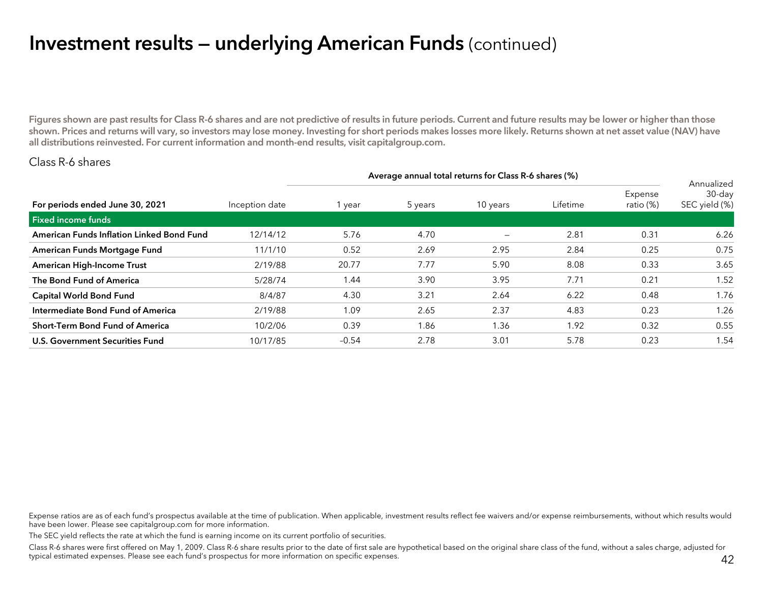## Investment results — underlying American Funds (continued)

Figures shown are past results for Class R-6 shares and are not predictive of results in future periods. Current and future results may be lower or higher than those shown. Prices and returns will vary, so investors may lose money. Investing for short periods makes losses more likely. Returns shown at net asset value (NAV) have all distributions reinvested. For current information and month-end results, visit capitalgroup.com.

#### Class R-6 shares

|                                           |                | Average annual total returns for Class R-6 shares (%) |         |                   |          |                      |                                       |  |  |  |
|-------------------------------------------|----------------|-------------------------------------------------------|---------|-------------------|----------|----------------------|---------------------------------------|--|--|--|
| For periods ended June 30, 2021           | Inception date | 1 year                                                | 5 years | 10 years          | Lifetime | Expense<br>ratio (%) | Annualized<br>30-day<br>SEC yield (%) |  |  |  |
| Fixed income funds                        |                |                                                       |         |                   |          |                      |                                       |  |  |  |
| American Funds Inflation Linked Bond Fund | 12/14/12       | 5.76                                                  | 4.70    | $\qquad \qquad -$ | 2.81     | 0.31                 | 6.26                                  |  |  |  |
| American Funds Mortgage Fund              | 11/1/10        | 0.52                                                  | 2.69    | 2.95              | 2.84     | 0.25                 | 0.75                                  |  |  |  |
| <b>American High-Income Trust</b>         | 2/19/88        | 20.77                                                 | 7.77    | 5.90              | 8.08     | 0.33                 | 3.65                                  |  |  |  |
| The Bond Fund of America                  | 5/28/74        | 1.44                                                  | 3.90    | 3.95              | 7.71     | 0.21                 | 1.52                                  |  |  |  |
| <b>Capital World Bond Fund</b>            | 8/4/87         | 4.30                                                  | 3.21    | 2.64              | 6.22     | 0.48                 | 1.76                                  |  |  |  |
| Intermediate Bond Fund of America         | 2/19/88        | 1.09                                                  | 2.65    | 2.37              | 4.83     | 0.23                 | 1.26                                  |  |  |  |
| <b>Short-Term Bond Fund of America</b>    | 10/2/06        | 0.39                                                  | 1.86    | 1.36              | 1.92     | 0.32                 | 0.55                                  |  |  |  |
| U.S. Government Securities Fund           | 10/17/85       | $-0.54$                                               | 2.78    | 3.01              | 5.78     | 0.23                 | 1.54                                  |  |  |  |

Expense ratios are as of each fund's prospectus available at the time of publication. When applicable, investment results reflect fee waivers and/or expense reimbursements, without which results would have been lower. Please see capitalgroup.com for more information.

The SEC yield reflects the rate at which the fund is earning income on its current portfolio of securities.

Class R-6 shares were first offered on May 1, 2009. Class R-6 share results prior to the date of first sale are hypothetical based on the original share class of the fund, without a sales charge, adjusted for typical estimated expenses. Please see each fund's prospectus for more information on specific expenses.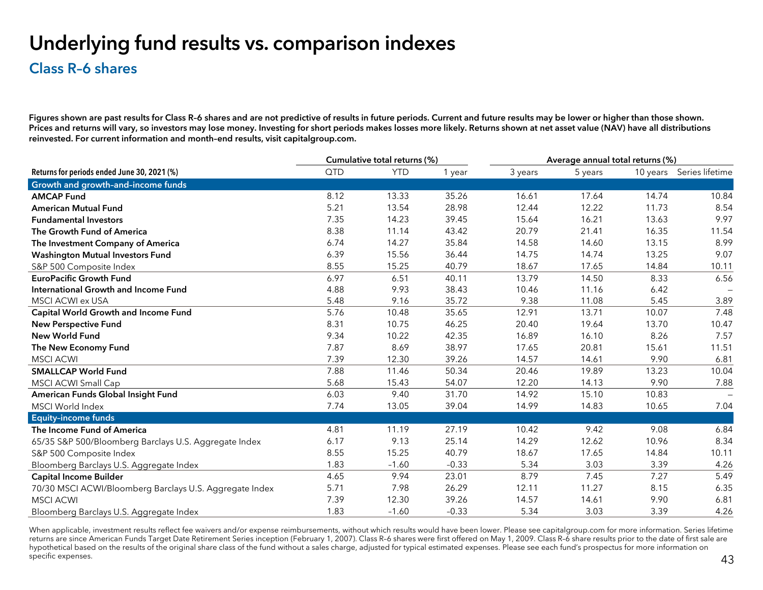## Underlying fund results vs. comparison indexes

### Class R–6 shares

Figures shown are past results for Class R-6 shares and are not predictive of results in future periods. Current and future results may be lower or higher than those shown. Prices and returns will vary, so investors may lose money. Investing for short periods makes losses more likely. Returns shown at net asset value (NAV) have all distributions reinvested. For current information and month–end results, visit capitalgroup.com.

|                                                         |      | Cumulative total returns (%) |         |         | Average annual total returns (%) |       |                          |
|---------------------------------------------------------|------|------------------------------|---------|---------|----------------------------------|-------|--------------------------|
| Returns for periods ended June 30, 2021 (%)             | QTD  | <b>YTD</b>                   | 1 year  | 3 years | 5 years                          |       | 10 years Series lifetime |
| Growth and growth-and-income funds                      |      |                              |         |         |                                  |       |                          |
| <b>AMCAP Fund</b>                                       | 8.12 | 13.33                        | 35.26   | 16.61   | 17.64                            | 14.74 | 10.84                    |
| <b>American Mutual Fund</b>                             | 5.21 | 13.54                        | 28.98   | 12.44   | 12.22                            | 11.73 | 8.54                     |
| <b>Fundamental Investors</b>                            | 7.35 | 14.23                        | 39.45   | 15.64   | 16.21                            | 13.63 | 9.97                     |
| The Growth Fund of America                              | 8.38 | 11.14                        | 43.42   | 20.79   | 21.41                            | 16.35 | 11.54                    |
| The Investment Company of America                       | 6.74 | 14.27                        | 35.84   | 14.58   | 14.60                            | 13.15 | 8.99                     |
| <b>Washington Mutual Investors Fund</b>                 | 6.39 | 15.56                        | 36.44   | 14.75   | 14.74                            | 13.25 | 9.07                     |
| S&P 500 Composite Index                                 | 8.55 | 15.25                        | 40.79   | 18.67   | 17.65                            | 14.84 | 10.11                    |
| <b>EuroPacific Growth Fund</b>                          | 6.97 | 6.51                         | 40.11   | 13.79   | 14.50                            | 8.33  | 6.56                     |
| International Growth and Income Fund                    | 4.88 | 9.93                         | 38.43   | 10.46   | 11.16                            | 6.42  |                          |
| <b>MSCI ACWI ex USA</b>                                 | 5.48 | 9.16                         | 35.72   | 9.38    | 11.08                            | 5.45  | 3.89                     |
| Capital World Growth and Income Fund                    | 5.76 | 10.48                        | 35.65   | 12.91   | 13.71                            | 10.07 | 7.48                     |
| <b>New Perspective Fund</b>                             | 8.31 | 10.75                        | 46.25   | 20.40   | 19.64                            | 13.70 | 10.47                    |
| <b>New World Fund</b>                                   | 9.34 | 10.22                        | 42.35   | 16.89   | 16.10                            | 8.26  | 7.57                     |
| The New Economy Fund                                    | 7.87 | 8.69                         | 38.97   | 17.65   | 20.81                            | 15.61 | 11.51                    |
| <b>MSCI ACWI</b>                                        | 7.39 | 12.30                        | 39.26   | 14.57   | 14.61                            | 9.90  | 6.81                     |
| <b>SMALLCAP World Fund</b>                              | 7.88 | 11.46                        | 50.34   | 20.46   | 19.89                            | 13.23 | 10.04                    |
| MSCI ACWI Small Cap                                     | 5.68 | 15.43                        | 54.07   | 12.20   | 14.13                            | 9.90  | 7.88                     |
| American Funds Global Insight Fund                      | 6.03 | 9.40                         | 31.70   | 14.92   | 15.10                            | 10.83 |                          |
| MSCI World Index                                        | 7.74 | 13.05                        | 39.04   | 14.99   | 14.83                            | 10.65 | 7.04                     |
| <b>Equity-income funds</b>                              |      |                              |         |         |                                  |       |                          |
| The Income Fund of America                              | 4.81 | 11.19                        | 27.19   | 10.42   | 9.42                             | 9.08  | 6.84                     |
| 65/35 S&P 500/Bloomberg Barclays U.S. Aggregate Index   | 6.17 | 9.13                         | 25.14   | 14.29   | 12.62                            | 10.96 | 8.34                     |
| S&P 500 Composite Index                                 | 8.55 | 15.25                        | 40.79   | 18.67   | 17.65                            | 14.84 | 10.11                    |
| Bloomberg Barclays U.S. Aggregate Index                 | 1.83 | $-1.60$                      | $-0.33$ | 5.34    | 3.03                             | 3.39  | 4.26                     |
| <b>Capital Income Builder</b>                           | 4.65 | 9.94                         | 23.01   | 8.79    | 7.45                             | 7.27  | 5.49                     |
| 70/30 MSCI ACWI/Bloomberg Barclays U.S. Aggregate Index | 5.71 | 7.98                         | 26.29   | 12.11   | 11.27                            | 8.15  | 6.35                     |
| <b>MSCI ACWI</b>                                        | 7.39 | 12.30                        | 39.26   | 14.57   | 14.61                            | 9.90  | 6.81                     |
| Bloomberg Barclays U.S. Aggregate Index                 | 1.83 | $-1.60$                      | $-0.33$ | 5.34    | 3.03                             | 3.39  | 4.26                     |

When applicable, investment results reflect fee waivers and/or expense reimbursements, without which results would have been lower. Please see capitalgroup.com for more information. Series lifetime returns are since American Funds Target Date Retirement Series inception (February 1, 2007). Class R-6 shares were first offered on May 1, 2009. Class R-6 share results prior to the date of first sale are hypothetical based on the results of the original share class of the fund without a sales charge, adjusted for typical estimated expenses. Please see each fund's prospectus for more information on specific expenses.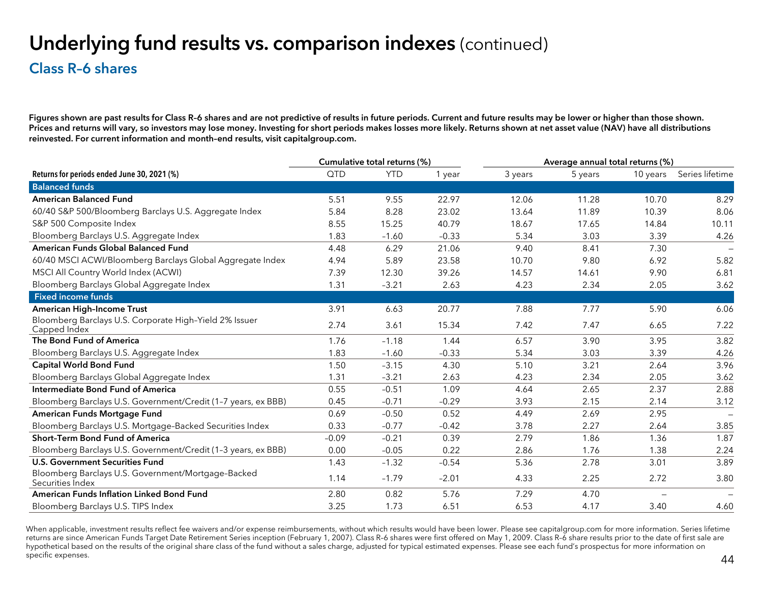## Underlying fund results vs. comparison indexes (continued)

#### Class R–6 shares

Figures shown are past results for Class R–6 shares and are not predictive of results in future periods. Current and future results may be lower or higher than those shown. Prices and returns will vary, so investors may lose money. Investing for short periods makes losses more likely. Returns shown at net asset value (NAV) have all distributions reinvested. For current information and month–end results, visit capitalgroup.com.

|                                                                        |         | Cumulative total returns (%) |         | Average annual total returns (%) |         |          |                 |
|------------------------------------------------------------------------|---------|------------------------------|---------|----------------------------------|---------|----------|-----------------|
| Returns for periods ended June 30, 2021 (%)                            | QTD     | <b>YTD</b>                   | 1 year  | 3 years                          | 5 years | 10 years | Series lifetime |
| <b>Balanced funds</b>                                                  |         |                              |         |                                  |         |          |                 |
| <b>American Balanced Fund</b>                                          | 5.51    | 9.55                         | 22.97   | 12.06                            | 11.28   | 10.70    | 8.29            |
| 60/40 S&P 500/Bloomberg Barclays U.S. Aggregate Index                  | 5.84    | 8.28                         | 23.02   | 13.64                            | 11.89   | 10.39    | 8.06            |
| S&P 500 Composite Index                                                | 8.55    | 15.25                        | 40.79   | 18.67                            | 17.65   | 14.84    | 10.11           |
| Bloomberg Barclays U.S. Aggregate Index                                | 1.83    | $-1.60$                      | $-0.33$ | 5.34                             | 3.03    | 3.39     | 4.26            |
| American Funds Global Balanced Fund                                    | 4.48    | 6.29                         | 21.06   | 9.40                             | 8.41    | 7.30     |                 |
| 60/40 MSCI ACWI/Bloomberg Barclays Global Aggregate Index              | 4.94    | 5.89                         | 23.58   | 10.70                            | 9.80    | 6.92     | 5.82            |
| MSCI All Country World Index (ACWI)                                    | 7.39    | 12.30                        | 39.26   | 14.57                            | 14.61   | 9.90     | 6.81            |
| Bloomberg Barclays Global Aggregate Index                              | 1.31    | $-3.21$                      | 2.63    | 4.23                             | 2.34    | 2.05     | 3.62            |
| <b>Fixed income funds</b>                                              |         |                              |         |                                  |         |          |                 |
| American High-Income Trust                                             | 3.91    | 6.63                         | 20.77   | 7.88                             | 7.77    | 5.90     | 6.06            |
| Bloomberg Barclays U.S. Corporate High-Yield 2% Issuer<br>Capped Index | 2.74    | 3.61                         | 15.34   | 7.42                             | 7.47    | 6.65     | 7.22            |
| The Bond Fund of America                                               | 1.76    | $-1.18$                      | 1.44    | 6.57                             | 3.90    | 3.95     | 3.82            |
| Bloomberg Barclays U.S. Aggregate Index                                | 1.83    | $-1.60$                      | $-0.33$ | 5.34                             | 3.03    | 3.39     | 4.26            |
| <b>Capital World Bond Fund</b>                                         | 1.50    | $-3.15$                      | 4.30    | 5.10                             | 3.21    | 2.64     | 3.96            |
| Bloomberg Barclays Global Aggregate Index                              | 1.31    | $-3.21$                      | 2.63    | 4.23                             | 2.34    | 2.05     | 3.62            |
| <b>Intermediate Bond Fund of America</b>                               | 0.55    | $-0.51$                      | 1.09    | 4.64                             | 2.65    | 2.37     | 2.88            |
| Bloomberg Barclays U.S. Government/Credit (1-7 years, ex BBB)          | 0.45    | $-0.71$                      | $-0.29$ | 3.93                             | 2.15    | 2.14     | 3.12            |
| American Funds Mortgage Fund                                           | 0.69    | $-0.50$                      | 0.52    | 4.49                             | 2.69    | 2.95     |                 |
| Bloomberg Barclays U.S. Mortgage-Backed Securities Index               | 0.33    | $-0.77$                      | $-0.42$ | 3.78                             | 2.27    | 2.64     | 3.85            |
| <b>Short-Term Bond Fund of America</b>                                 | $-0.09$ | $-0.21$                      | 0.39    | 2.79                             | 1.86    | 1.36     | 1.87            |
| Bloomberg Barclays U.S. Government/Credit (1-3 years, ex BBB)          | 0.00    | $-0.05$                      | 0.22    | 2.86                             | 1.76    | 1.38     | 2.24            |
| <b>U.S. Government Securities Fund</b>                                 | 1.43    | $-1.32$                      | $-0.54$ | 5.36                             | 2.78    | 3.01     | 3.89            |
| Bloomberg Barclays U.S. Government/Mortgage-Backed<br>Securities Index | 1.14    | $-1.79$                      | $-2.01$ | 4.33                             | 2.25    | 2.72     | 3.80            |
| <b>American Funds Inflation Linked Bond Fund</b>                       | 2.80    | 0.82                         | 5.76    | 7.29                             | 4.70    |          |                 |
| Bloomberg Barclays U.S. TIPS Index                                     | 3.25    | 1.73                         | 6.51    | 6.53                             | 4.17    | 3.40     | 4.60            |

When applicable, investment results reflect fee waivers and/or expense reimbursements, without which results would have been lower. Please see capitalgroup.com for more information. Series lifetime returns are since American Funds Target Date Retirement Series inception (February 1, 2007). Class R-6 shares were first offered on May 1, 2009. Class R-6 share results prior to the date of first sale are hypothetical based on the results of the original share class of the fund without a sales charge, adjusted for typical estimated expenses. Please see each fund's prospectus for more information on specific expenses.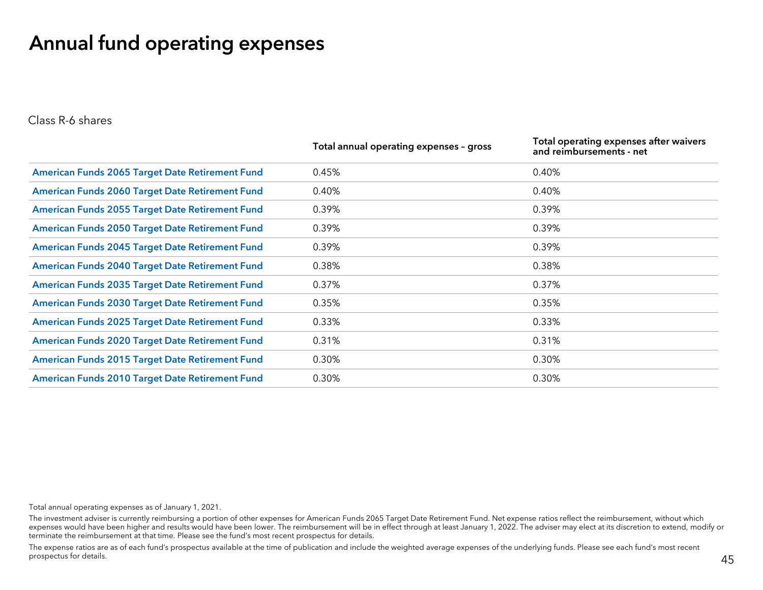## Annual fund operating expenses

Class R-6 shares

|                                                        | Total annual operating expenses - gross | Total operating expenses after waivers<br>and reimbursements - net |
|--------------------------------------------------------|-----------------------------------------|--------------------------------------------------------------------|
| American Funds 2065 Target Date Retirement Fund        | 0.45%                                   | 0.40%                                                              |
| <b>American Funds 2060 Target Date Retirement Fund</b> | 0.40%                                   | 0.40%                                                              |
| <b>American Funds 2055 Target Date Retirement Fund</b> | 0.39%                                   | 0.39%                                                              |
| <b>American Funds 2050 Target Date Retirement Fund</b> | 0.39%                                   | 0.39%                                                              |
| <b>American Funds 2045 Target Date Retirement Fund</b> | 0.39%                                   | 0.39%                                                              |
| <b>American Funds 2040 Target Date Retirement Fund</b> | 0.38%                                   | 0.38%                                                              |
| <b>American Funds 2035 Target Date Retirement Fund</b> | 0.37%                                   | 0.37%                                                              |
| <b>American Funds 2030 Target Date Retirement Fund</b> | 0.35%                                   | 0.35%                                                              |
| American Funds 2025 Target Date Retirement Fund        | 0.33%                                   | 0.33%                                                              |
| <b>American Funds 2020 Target Date Retirement Fund</b> | 0.31%                                   | 0.31%                                                              |
| <b>American Funds 2015 Target Date Retirement Fund</b> | 0.30%                                   | 0.30%                                                              |
| <b>American Funds 2010 Target Date Retirement Fund</b> | 0.30%                                   | 0.30%                                                              |

Total annual operating expenses as of January 1, 2021.

The investment adviser is currently reimbursing a portion of other expenses for American Funds 2065 Target Date Retirement Fund. Net expense ratios reflect the reimbursement, without which expenses would have been higher and results would have been lower. The reimbursement will be in effect through at least January 1, 2022. The adviser may elect at its discretion to extend, modify or terminate the reimbursement at that time. Please see the fund's most recent prospectus for details.

The expense ratios are as of each fund's prospectus available at the time of publication and include the weighted average expenses of the underlying funds. Please see each fund's most recent prospectus for details.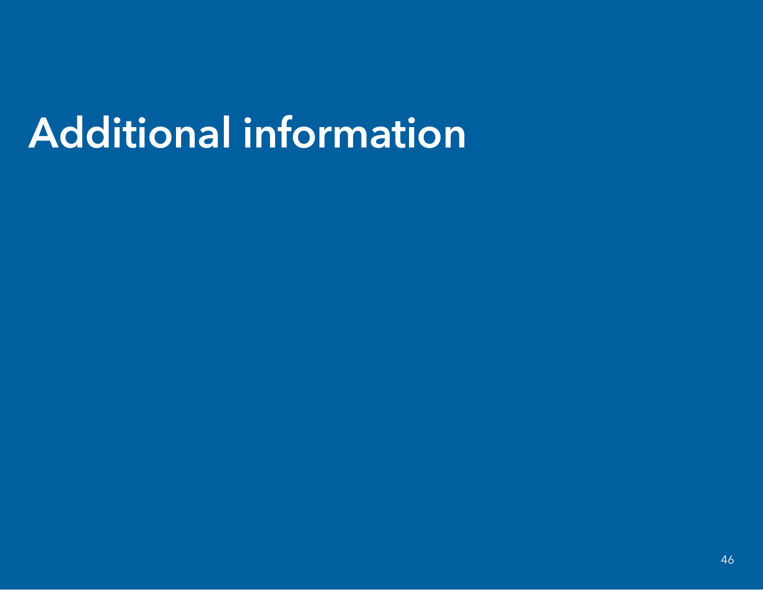# Additional information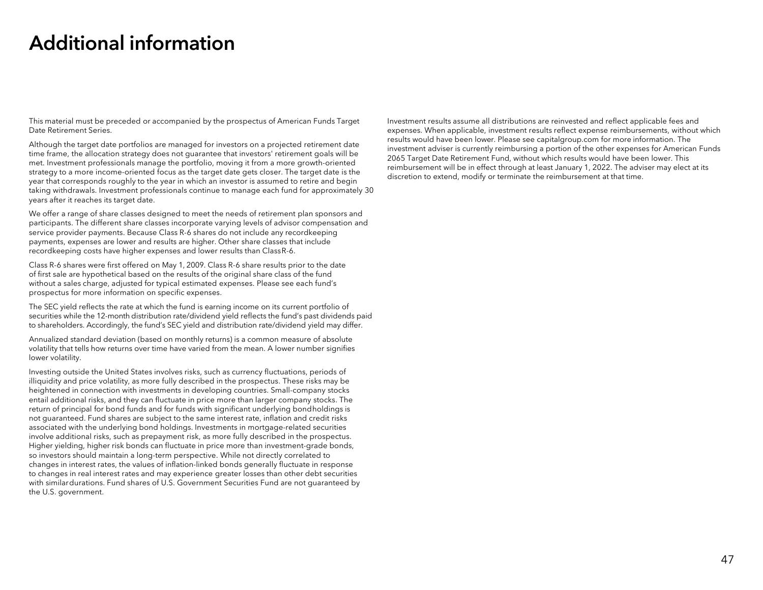## Additional information

This material must be preceded or accompanied by the prospectus of American Funds Target Date Retirement Series.

Although the target date portfolios are managed for investors on a projected retirement date time frame, the allocation strategy does not guarantee that investors' retirement goals will be met. Investment professionals manage the portfolio, moving it from a more growth-oriented strategy to a more income-oriented focus as the target date gets closer. The target date is the year that corresponds roughly to the year in which an investor is assumed to retire and begin taking withdrawals. Investment professionals continue to manage each fund for approximately 30 years after it reaches its target date.

We offer a range of share classes designed to meet the needs of retirement plan sponsors and participants. The different share classes incorporate varying levels of advisor compensation and service provider payments. Because Class R-6 shares do not include any recordkeeping payments, expenses are lower and results are higher. Other share classes that include recordkeeping costs have higher expenses and lower results than ClassR-6.

Class R-6 shares were first offered on May 1, 2009. Class R-6 share results prior to the date of first sale are hypothetical based on the results of the original share class of the fund without a sales charge, adjusted for typical estimated expenses. Please see each fund's prospectus for more information on specific expenses.

The SEC yield reflects the rate at which the fund is earning income on its current portfolio of securities while the 12-month distribution rate/dividend yield reflects the fund's pas<sup>t</sup> dividends paid to shareholders. Accordingly, the fund's SEC yield and distribution rate/dividend yield may differ.

Annualized standard deviation (based on monthly returns) is a common measure of absolute volatility that tells how returns over time have varied from the mean. A lower number signifies lower volatility.

Investing outside the United States involves risks, such as currency fluctuations, periods of illiquidity and price volatility, as more fully described in the prospectus. These risks may be heightened in connection with investments in developing countries. Small-company stocks entail additional risks, and they can fluctuate in price more than larger company stocks. The return of principal for bond funds and for funds with significant underlying bondholdings is not guaranteed. Fund shares are subject to the same interest rate, inflation and credit risks associated with the underlying bond holdings. Investments in mortgage-related securities involve additional risks, such as prepayment risk, as more fully described in the prospectus. Higher yielding, higher risk bonds can fluctuate in price more than investment-grade bonds, so investors should maintain a long-term perspective. While not directly correlated to changes in interest rates, the values of inflation-linked bonds generally fluctuate in response to changes in real interest rates and may experience greater losses than other debt securities with similardurations. Fund shares of U.S. Government Securities Fund are not guaranteed by the U.S. government.

Investment results assume all distributions are reinvested and reflect applicable fees and expenses. When applicable, investment results reflect expense reimbursements, without which results would have been lower. Please see capitalgroup.com for more information. The investment adviser is currently reimbursing a portion of the other expenses for American Funds 2065 Target Date Retirement Fund, without which results would have been lower. This reimbursement will be in effect through at least January 1, 2022. The adviser may elect at its discretion to extend, modify or terminate the reimbursement at that time.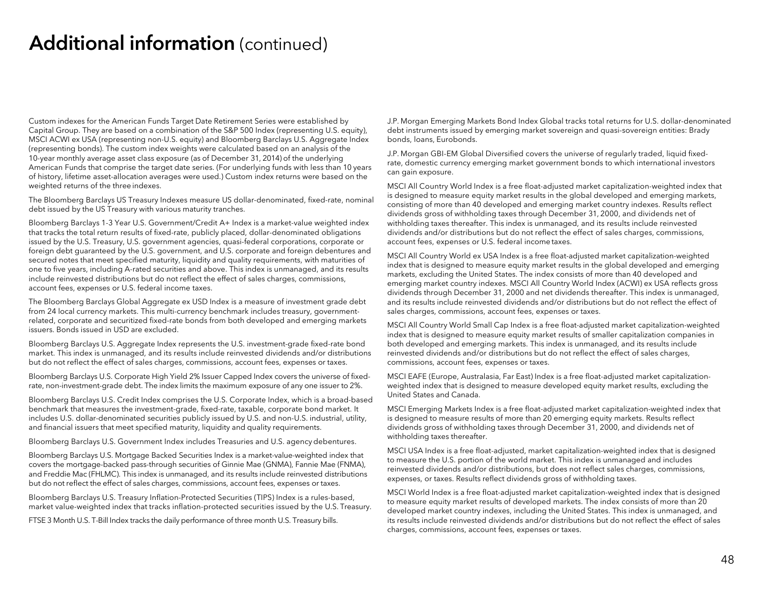Custom indexes for the American Funds Target Date Retirement Series were established by Capital Group. They are based on a combination of the S&P 500 Index (representing U.S. equity), MSCI ACWI ex USA (representing non-U.S. equity) and Bloomberg Barclays U.S. Aggregate Index (representing bonds). The custom index weights were calculated based on an analysis of the 10-year monthly average asset class exposure (as of December 31, 2014) of the underlying American Funds that comprise the target date series. (For underlying funds with less than 10 years of history, lifetime asset-allocation averages were used.) Custom index returns were based on the weighted returns of the three indexes.

The Bloomberg Barclays US Treasury Indexes measure US dollar-denominated, fixed-rate, nominal debt issued by the US Treasury with various maturity tranches.

Bloomberg Barclays 1-3 Year U.S. Government/Credit A+ Index is a market-value weighted index that tracks the total return results of fixed-rate, publicly placed, dollar-denominated obligations issued by the U.S. Treasury, U.S. government agencies, quasi-federal corporations, corporate or foreign debt guaranteed by the U.S. government, and U.S. corporate and foreign debentures and secured notes that meet specified maturity, liquidity and quality requirements, with maturities of one to five years, including A-rated securities and above. This index is unmanaged, and its results include reinvested distributions but do not reflect the effect of sales charges, commissions, account fees, expenses or U.S. federal income taxes.

The Bloomberg Barclays Global Aggregate ex USD Index is a measure of investment grade debt from 24 local currency markets. This multi-currency benchmark includes treasury, governmentrelated, corporate and securitized fixed-rate bonds from both developed and emerging markets issuers. Bonds issued in USD are excluded.

Bloomberg Barclays U.S. Aggregate Index represents the U.S. investment-grade fixed-rate bond market. This index is unmanaged, and its results include reinvested dividends and/or distributions but do not reflect the effect of sales charges, commissions, account fees, expenses or taxes.

Bloomberg Barclays U.S. Corporate High Yield 2% Issuer Capped Index covers the universe of fixedrate, non-investment-grade debt. The index limits the maximum exposure of any one issuer to 2%.

Bloomberg Barclays U.S. Credit Index comprises the U.S. Corporate Index, which is a broad-based benchmark that measures the investment-grade, fixed-rate, taxable, corporate bond market. It includes U.S. dollar-denominated securities publicly issued by U.S. and non-U.S. industrial, utility, and financial issuers that meet specified maturity, liquidity and quality requirements.

Bloomberg Barclays U.S. Government Index includes Treasuries and U.S. agency debentures.

Bloomberg Barclays U.S. Mortgage Backed Securities Index is a market-value-weighted index that covers the mortgage-backed pass-through securities of Ginnie Mae (GNMA), Fannie Mae (FNMA), and Freddie Mac (FHLMC). This index is unmanaged, and its results include reinvested distributions but do not reflect the effect of sales charges, commissions, account fees, expenses or taxes.

Bloomberg Barclays U.S. Treasury Inflation-Protected Securities (TIPS) Index is a rules-based, market value-weighted index that tracks inflation-protected securities issued by the U.S. Treasury.

FTSE 3 Month U.S. T-Bill Index tracks the daily performance of three month U.S. Treasury bills.

J.P. Morgan Emerging Markets Bond Index Global tracks total returns for U.S. dollar-denominated debt instruments issued by emerging market sovereign and quasi-sovereign entities: Brady bonds, loans, Eurobonds.

J.P. Morgan GBI-EM Global Diversified covers the universe of regularly traded, liquid fixedrate, domestic currency emerging market government bonds to which international investors can gain exposure.

MSCI All Country World Index is a free float-adjusted market capitalization-weighted index that is designed to measure equity market results in the global developed and emerging markets, consisting of more than 40 developed and emerging market country indexes. Results reflect dividends gross of withholding taxes through December 31, 2000, and dividends net of withholding taxes thereafter. This index is unmanaged, and its results include reinvested dividends and/or distributions but do not reflect the effect of sales charges, commissions, account fees, expenses or U.S. federal income taxes.

MSCI All Country World ex USA Index is a free float-adjusted market capitalization-weighted index that is designed to measure equity market results in the global developed and emerging markets, excluding the United States. The index consists of more than 40 developed and emerging market country indexes. MSCI All Country World Index (ACWI) ex USA reflects gross dividends through December 31, 2000 and net dividends thereafter. This index is unmanaged, and its results include reinvested dividends and/or distributions but do not reflect the effect of sales charges, commissions, account fees, expenses or taxes.

MSCI All Country World Small Cap Index is a free float-adjusted market capitalization-weighted index that is designed to measure equity market results of smaller capitalization companies in both developed and emerging markets. This index is unmanaged, and its results include reinvested dividends and/or distributions but do not reflect the effect of sales charges, commissions, account fees, expenses or taxes.

MSCI EAFE (Europe, Australasia, Far East) Index is a free float-adjusted market capitalizationweighted index that is designed to measure developed equity market results, excluding the United States and Canada.

MSCI Emerging Markets Index is a free float-adjusted market capitalization-weighted index that is designed to measure results of more than 20 emerging equity markets. Results reflect dividends gross of withholding taxes through December 31, 2000, and dividends net of withholding taxes thereafter.

MSCI USA Index is a free float-adjusted, market capitalization-weighted index that is designed to measure the U.S. portion of the world market. This index is unmanaged and includes reinvested dividends and/or distributions, but does not reflect sales charges, commissions, expenses, or taxes. Results reflect dividends gross of withholding taxes.

MSCI World Index is a free float-adjusted market capitalization-weighted index that is designed to measure equity market results of developed markets. The index consists of more than 20 developed market country indexes, including the United States. This index is unmanaged, and its results include reinvested dividends and/or distributions but do not reflect the effect of sales charges, commissions, account fees, expenses or taxes.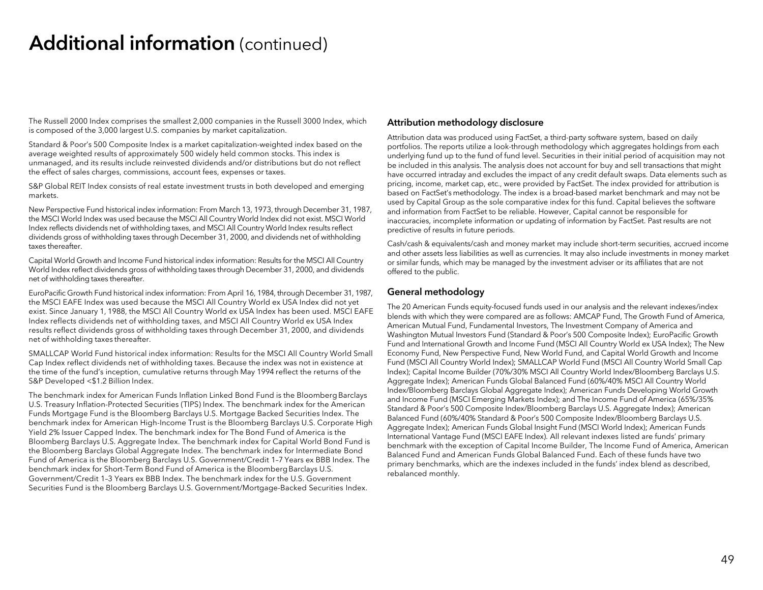The Russell 2000 Index comprises the smallest 2,000 companies in the Russell 3000 Index, which is composed of the 3,000 largest U.S. companies by market capitalization.

Standard & Poor's 500 Composite Index is a market capitalization-weighted index based on the average weighted results of approximately 500 widely held common stocks. This index is unmanaged, and its results include reinvested dividends and/or distributions but do not reflect the effect of sales charges, commissions, account fees, expenses or taxes.

S&P Global REIT Index consists of real estate investment trusts in both developed and emerging markets.

New Perspective Fund historical index information: From March 13, 1973, through December 31, 1987, the MSCI World Index was used because the MSCI All Country World Index did not exist. MSCI World Index reflects dividends net of withholding taxes, and MSCI All Country World Index results reflect dividends gross of withholding taxes through December 31, 2000, and dividends net of withholding taxes thereafter.

Capital World Growth and Income Fund historical index information: Results for the MSCI All Country World Index reflect dividends gross of withholding taxes through December 31, 2000, and dividends net of withholding taxes thereafter.

EuroPacific Growth Fund historical index information: From April 16, 1984, through December 31, 1987, the MSCI EAFE Index was used because the MSCI All Country World ex USA Index did not yet exist. Since January 1, 1988, the MSCI All Country World ex USA Index has been used. MSCI EAFE Index reflects dividends net of withholding taxes, and MSCI All Country World ex USA Index results reflect dividends gross of withholding taxes through December 31, 2000, and dividends net of withholding taxes thereafter.

SMALLCAP World Fund historical index information: Results for the MSCI All Country World Small Cap Index reflect dividends net of withholding taxes. Because the index was not in existence at the time of the fund's inception, cumulative returns through May 1994 reflect the returns of the S&P Developed <\$1.2 Billion Index.

The benchmark index for American Funds Inflation Linked Bond Fund is the Bloomberg Barclays U.S. Treasury Inflation-Protected Securities (TIPS) Index. The benchmark index for the American Funds Mortgage Fund is the Bloomberg Barclays U.S. Mortgage Backed Securities Index. The benchmark index for American High-Income Trust is the Bloomberg Barclays U.S. Corporate High Yield 2% Issuer Capped Index. The benchmark index for The Bond Fund of America is the Bloomberg Barclays U.S. Aggregate Index. The benchmark index for Capital World Bond Fund is the Bloomberg Barclays Global Aggregate Index. The benchmark index for Intermediate Bond Fund of America is the Bloomberg Barclays U.S. Government/Credit 1–7 Years ex BBB Index. The benchmark index for Short-Term Bond Fund of America is the Bloomberg Barclays U.S. Government/Credit 1–3 Years ex BBB Index. The benchmark index for the U.S. Government Securities Fund is the Bloomberg Barclays U.S. Government/Mortgage-Backed Securities Index.

#### Attribution methodology disclosure

Attribution data was produced using FactSet, a third-party software system, based on daily portfolios. The reports utilize a look-through methodology which aggregates holdings from each underlying fund up to the fund of fund level. Securities in their initial period of acquisition may not be included in this analysis. The analysis does not account for buy and sell transactions that might have occurred intraday and excludes the impact of any credit default swaps. Data elements such as pricing, income, market cap, etc., were provided by FactSet. The index provided for attribution is based on FactSet's methodology. The index is a broad-based market benchmark and may not be used by Capital Group as the sole comparative index for this fund. Capital believes the software and information from FactSet to be reliable. However, Capital cannot be responsible for inaccuracies, incomplete information or updating of information by FactSet. Past results are not predictive of results in future periods.

Cash/cash & equivalents/cash and money market may include short-term securities, accrued income and other assets less liabilities as well as currencies. It may also include investments in money market or similar funds, which may be managed by the investment adviser or its affiliates that are not offered to the public.

#### General methodology

The 20 American Funds equity-focused funds used in our analysis and the relevant indexes/index blends with which they were compared are as follows: AMCAP Fund, The Growth Fund of America, American Mutual Fund, Fundamental Investors, The Investment Company of America and Washington Mutual Investors Fund (Standard & Poor's 500 Composite Index); EuroPacific Growth Fund and International Growth and Income Fund (MSCI All Country World ex USA Index); The New Economy Fund, New Perspective Fund, New World Fund, and Capital World Growth and Income Fund (MSCI All Country World Index); SMALLCAP World Fund (MSCI All Country World Small Cap Index); Capital Income Builder (70%/30% MSCI All Country World Index/Bloomberg Barclays U.S. Aggregate Index); American Funds Global Balanced Fund (60%/40% MSCI All Country World Index/Bloomberg Barclays Global Aggregate Index); American Funds Developing World Growth and Income Fund (MSCI Emerging Markets Index); and The Income Fund of America (65%/35% Standard & Poor's 500 Composite Index/Bloomberg Barclays U.S. Aggregate Index); American Balanced Fund (60%/40% Standard & Poor's 500 Composite Index/Bloomberg Barclays U.S. Aggregate Index); American Funds Global Insight Fund (MSCI World Index); American Funds International Vantage Fund (MSCI EAFE Index). All relevant indexes listed are funds' primary benchmark with the exception of Capital Income Builder, The Income Fund of America, American Balanced Fund and American Funds Global Balanced Fund. Each of these funds have two primary benchmarks, which are the indexes included in the funds' index blend as described, rebalanced monthly.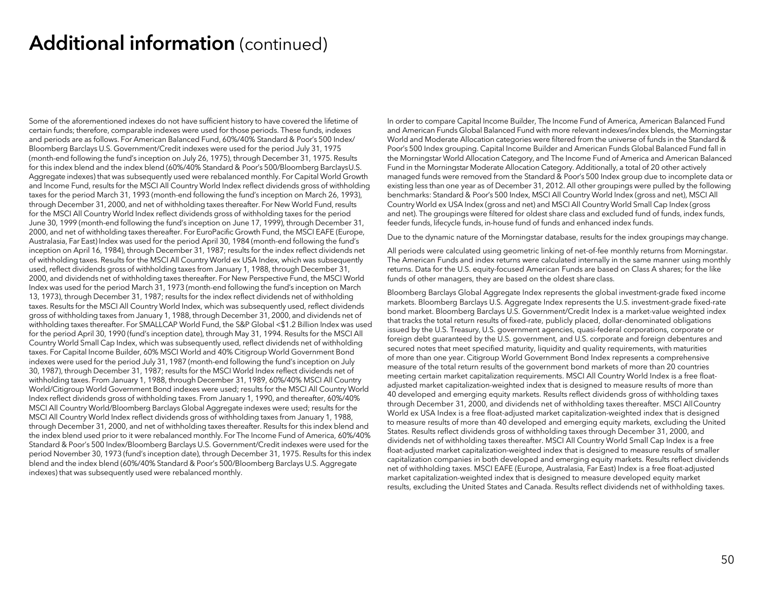Some of the aforementioned indexes do not have sufficient history to have covered the lifetime of certain funds; therefore, comparable indexes were used for those periods. These funds, indexes and periods are as follows. For American Balanced Fund, 60%/40% Standard & Poor's 500 Index/ Bloomberg Barclays U.S. Government/Credit indexes were used for the period July 31, 1975 (month-end following the fund's inception on July 26, 1975), through December 31, 1975. Results for this index blend and the index blend (60%/40% Standard & Poor's 500/Bloomberg BarclaysU.S. Aggregate indexes) that was subsequently used were rebalanced monthly. For Capital World Growth and Income Fund, results for the MSCI All Country World Index reflect dividends gross of withholding taxes for the period March 31, 1993 (month-end following the fund's inception on March 26, 1993), through December 31, 2000, and net of withholding taxes thereafter. For New World Fund, results for the MSCI All Country World Index reflect dividends gross of withholding taxes for the period June 30, 1999 (month-end following the fund's inception on June 17, 1999), through December 31, 2000, and net of withholding taxes thereafter. For EuroPacific Growth Fund, the MSCI EAFE (Europe, Australasia, Far East) Index was used for the period April 30, 1984 (month-end following the fund's inception on April 16, 1984), through December 31, 1987; results for the index reflect dividends net of withholding taxes. Results for the MSCI All Country World ex USA Index, which was subsequently used, reflect dividends gross of withholding taxes from January 1, 1988, through December 31, 2000, and dividends net of withholding taxes thereafter. For New Perspective Fund, the MSCI World Index was used for the period March 31, 1973 (month-end following the fund's inception on March 13, 1973), through December 31, 1987; results for the index reflect dividends net of withholding taxes. Results for the MSCI All Country World Index, which was subsequently used, reflect dividends gross of withholding taxes from January 1, 1988, through December 31, 2000, and dividends net of withholding taxes thereafter. For SMALLCAP World Fund, the S&P Global <\$1.2 Billion Index was used for the period April 30, 1990 (fund's inception date), through May 31, 1994. Results for the MSCI All Country World Small Cap Index, which was subsequently used, reflect dividends net of withholding taxes. For Capital Income Builder, 60% MSCI World and 40% Citigroup World Government Bond indexes were used for the period July 31, 1987 (month-end following the fund's inception on July 30, 1987), through December 31, 1987; results for the MSCI World Index reflect dividends net of withholding taxes. From January 1, 1988, through December 31, 1989, 60%/40% MSCI All Country World/Citigroup World Government Bond indexes were used; results for the MSCI All Country World Index reflect dividends gross of withholding taxes. From January 1, 1990, and thereafter, 60%/40% MSCI All Country World/Bloomberg Barclays Global Aggregate indexes were used; results for the MSCI All Country World Index reflect dividends gross of withholding taxes from January 1, 1988, through December 31, 2000, and net of withholding taxes thereafter. Results for this index blend and the index blend used prior to it were rebalanced monthly. For The Income Fund of America, 60%/40% Standard & Poor's 500 Index/Bloomberg Barclays U.S. Government/Credit indexes were used for the period November 30, 1973 (fund's inception date), through December 31, 1975. Results for this index blend and the index blend (60%/40% Standard & Poor's 500/Bloomberg Barclays U.S. Aggregate indexes) that was subsequently used were rebalanced monthly.

In order to compare Capital Income Builder, The Income Fund of America, American Balanced Fund and American Funds Global Balanced Fund with more relevant indexes/index blends, the Morningstar World and Moderate Allocation categories were filtered from the universe of funds in the Standard & Poor's 500 Index grouping. Capital Income Builder and American Funds Global Balanced Fund fall in the Morningstar World Allocation Category, and The Income Fund of America and American Balanced Fund in the Morningstar Moderate Allocation Category. Additionally, a total of 20 other actively managed funds were removed from the Standard & Poor's 500 Index group due to incomplete data or existing less than one year as of December 31, 2012. All other groupings were pulled by the following benchmarks: Standard & Poor's 500 Index, MSCI All Country World Index (gross and net), MSCI All Country World ex USA Index (gross and net) and MSCI All Country World Small Cap Index (gross and net). The groupings were filtered for oldest share class and excluded fund of funds, index funds, feeder funds, lifecycle funds, in-house fund of funds and enhanced index funds.

Due to the dynamic nature of the Morningstar database, results for the index groupings may change.

All periods were calculated using geometric linking of net-of-fee monthly returns from Morningstar. The American Funds and index returns were calculated internally in the same manner using monthly returns. Data for the U.S. equity-focused American Funds are based on Class A shares; for the like funds of other managers, they are based on the oldest share class.

Bloomberg Barclays Global Aggregate Index represents the global investment-grade fixed income markets. Bloomberg Barclays U.S. Aggregate Index represents the U.S. investment-grade fixed-rate bond market. Bloomberg Barclays U.S. Government/Credit Index is a market-value weighted index that tracks the total return results of fixed-rate, publicly placed, dollar-denominated obligations issued by the U.S. Treasury, U.S. government agencies, quasi-federal corporations, corporate or foreign debt guaranteed by the U.S. government, and U.S. corporate and foreign debentures and secured notes that meet specified maturity, liquidity and quality requirements, with maturities of more than one year. Citigroup World Government Bond Index represents a comprehensive measure of the total return results of the government bond markets of more than 20 countries meeting certain market capitalization requirements. MSCI All Country World Index is a free floatadjusted market capitalization-weighted index that is designed to measure results of more than 40 developed and emerging equity markets. Results reflect dividends gross of withholding taxes through December 31, 2000, and dividends net of withholding taxes thereafter. MSCI AllCountry World ex USA Index is a free float-adjusted market capitalization-weighted index that is designed to measure results of more than 40 developed and emerging equity markets, excluding the United States. Results reflect dividends gross of withholding taxes through December 31, 2000, and dividends net of withholding taxes thereafter. MSCI All Country World Small Cap Index is a free float-adjusted market capitalization-weighted index that is designed to measure results of smaller capitalization companies in both developed and emerging equity markets. Results reflect dividends net of withholding taxes. MSCI EAFE (Europe, Australasia, Far East) Index is a free float-adjusted market capitalization-weighted index that is designed to measure developed equity market results, excluding the United States and Canada. Results reflect dividends net of withholding taxes.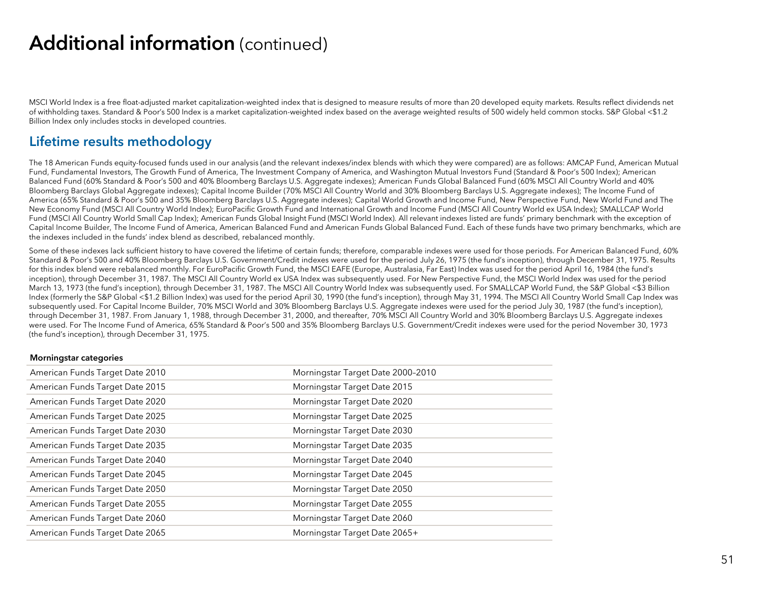MSCI World Index is a free float-adjusted market capitalization-weighted index that is designed to measure results of more than 20 developed equity markets. Results reflect dividends net of withholding taxes. Standard & Poor's 500 Index is a market capitalization-weighted index based on the average weighted results of 500 widely held common stocks. S&P Global <\$1.2 Billion Index only includes stocks in developed countries.

#### Lifetime results methodology

The 18 American Funds equity-focused funds used in our analysis (and the relevant indexes/index blends with which they were compared) are as follows: AMCAP Fund, American Mutual Fund, Fundamental Investors, The Growth Fund of America, The Investment Company of America, and Washington Mutual Investors Fund (Standard & Poor's 500 Index); American Balanced Fund (60% Standard & Poor's 500 and 40% Bloomberg Barclays U.S. Aggregate indexes); American Funds Global Balanced Fund (60% MSCI All Country World and 40% Bloomberg Barclays Global Aggregate indexes); Capital Income Builder (70% MSCI All Country World and 30% Bloomberg Barclays U.S. Aggregate indexes); The Income Fund of America (65% Standard & Poor's 500 and 35% Bloomberg Barclays U.S. Aggregate indexes); Capital World Growth and Income Fund, New Perspective Fund, New World Fund and The New Economy Fund (MSCI All Country World Index); EuroPacific Growth Fund and International Growth and Income Fund (MSCI All Country World ex USA Index); SMALLCAP World Fund (MSCI All Country World Small Cap Index); American Funds Global Insight Fund (MSCI World Index). All relevant indexes listed are funds' primary benchmark with the exception of Capital Income Builder, The Income Fund of America, American Balanced Fund and American Funds Global Balanced Fund. Each of these funds have two primary benchmarks, which are the indexes included in the funds' index blend as described, rebalanced monthly.

Some of these indexes lack sufficient history to have covered the lifetime of certain funds; therefore, comparable indexes were used for those periods. For American Balanced Fund, 60% Standard & Poor's 500 and 40% Bloomberg Barclays U.S. Government/Credit indexes were used for the period July 26, 1975 (the fund's inception), through December 31, 1975. Results for this index blend were rebalanced monthly. For EuroPacific Growth Fund, the MSCI EAFE (Europe, Australasia, Far East) Index was used for the period April 16, 1984 (the fund's inception), through December 31, 1987. The MSCI All Country World ex USA Index was subsequently used. For New Perspective Fund, the MSCI World Index was used for the period March 13, 1973 (the fund's inception), through December 31, 1987. The MSCI All Country World Index was subsequently used. For SMALLCAP World Fund, the S&P Global <\$3 Billion Index (formerly the S&P Global <\$1.2 Billion Index) was used for the period April 30, 1990 (the fund's inception), through May 31, 1994. The MSCI All Country World Small Cap Index was subsequently used. For Capital Income Builder, 70% MSCI World and 30% Bloomberg Barclays U.S. Aggregate indexes were used for the period July 30, 1987 (the fund's inception), through December 31, 1987. From January 1, 1988, through December 31, 2000, and thereafter, 70% MSCI All Country World and 30% Bloomberg Barclays U.S. Aggregate indexes were used. For The Income Fund of America, 65% Standard & Poor's 500 and 35% Bloomberg Barclays U.S. Government/Credit indexes were used for the period November 30, 1973 (the fund's inception), through December 31, 1975.

#### Morningstar categories

| American Funds Target Date 2010 | Morningstar Target Date 2000-2010 |
|---------------------------------|-----------------------------------|
| American Funds Target Date 2015 | Morningstar Target Date 2015      |
| American Funds Target Date 2020 | Morningstar Target Date 2020      |
| American Funds Target Date 2025 | Morningstar Target Date 2025      |
| American Funds Target Date 2030 | Morningstar Target Date 2030      |
| American Funds Target Date 2035 | Morningstar Target Date 2035      |
| American Funds Target Date 2040 | Morningstar Target Date 2040      |
| American Funds Target Date 2045 | Morningstar Target Date 2045      |
| American Funds Target Date 2050 | Morningstar Target Date 2050      |
| American Funds Target Date 2055 | Morningstar Target Date 2055      |
| American Funds Target Date 2060 | Morningstar Target Date 2060      |
| American Funds Target Date 2065 | Morningstar Target Date 2065+     |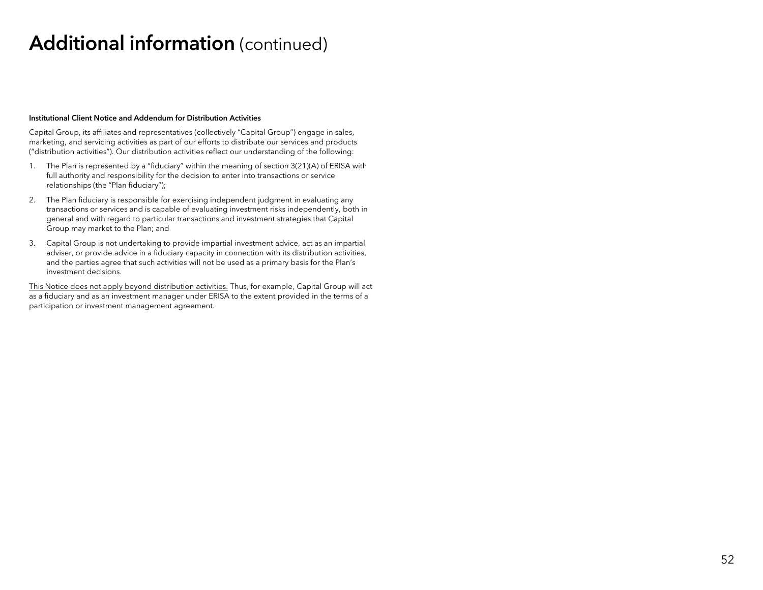#### Institutional Client Notice and Addendum for Distribution Activities

Capital Group, its affiliates and representatives (collectively "Capital Group") engage in sales, marketing, and servicing activities as part of our efforts to distribute our services and products ("distribution activities"). Our distribution activities reflect our understanding of the following:

- 1. The Plan is represented by a "fiduciary" within the meaning of section 3(21)(A) of ERISA with full authority and responsibility for the decision to enter into transactions or service relationships (the "Plan fiduciary");
- 2. The Plan fiduciary is responsible for exercising independent judgment in evaluating any transactions or services and is capable of evaluating investment risks independently, both in general and with regard to particular transactions and investment strategies that Capital Group may market to the Plan; and
- 3. Capital Group is not undertaking to provide impartial investment advice, act as an impartial adviser, or provide advice in a fiduciary capacity in connection with its distribution activities, and the parties agree that such activities will not be used as a primary basis for the Plan's investment decisions.

This Notice does not apply beyond distribution activities. Thus, for example, Capital Group will act as a fiduciary and as an investment manager under ERISA to the extent provided in the terms of a participation or investment management agreement.